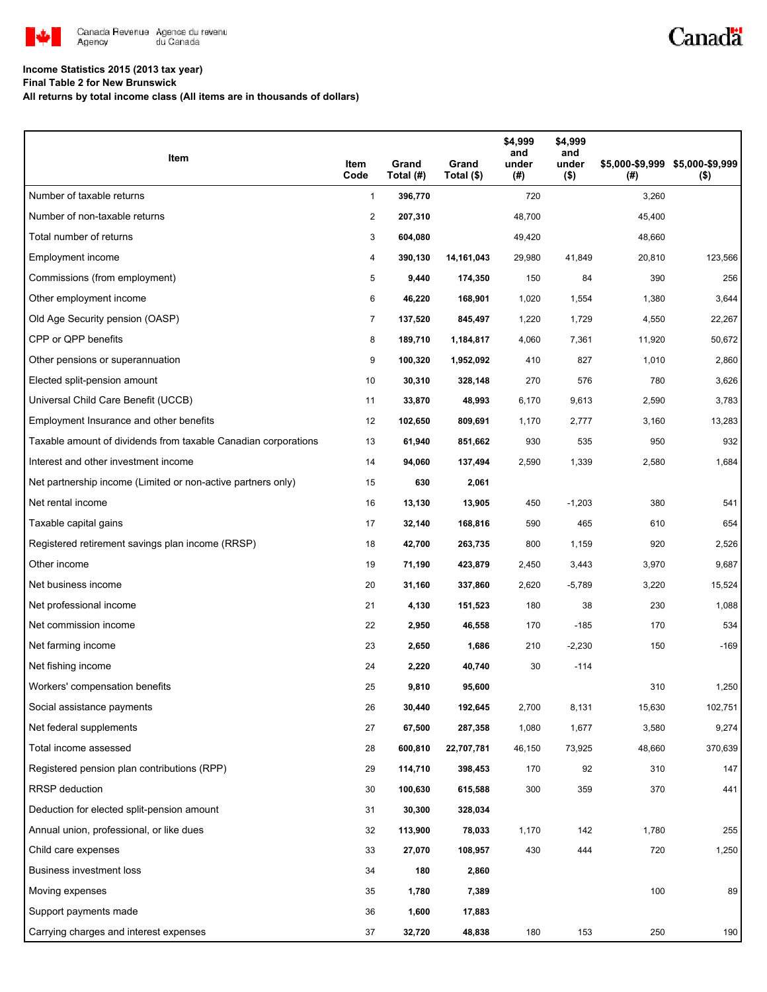

# Canadä

### **Income Statistics 2015 (2013 tax year)**

**Final Table 2 for New Brunswick**

**All returns by total income class (All items are in thousands of dollars)**

| Item                                                           | Item<br>Code   | Grand<br>Total (#) | Grand<br>Total (\$) | \$4,999<br>and<br>under<br>(#) | \$4,999<br>and<br>under<br>$($ \$) | (# )   | \$5,000-\$9,999 \$5,000-\$9,999<br>$($ \$) |
|----------------------------------------------------------------|----------------|--------------------|---------------------|--------------------------------|------------------------------------|--------|--------------------------------------------|
| Number of taxable returns                                      | $\mathbf{1}$   | 396,770            |                     | 720                            |                                    | 3,260  |                                            |
| Number of non-taxable returns                                  | $\overline{2}$ | 207,310            |                     | 48,700                         |                                    | 45,400 |                                            |
| Total number of returns                                        | 3              | 604,080            |                     | 49,420                         |                                    | 48,660 |                                            |
| Employment income                                              | 4              | 390,130            | 14,161,043          | 29,980                         | 41,849                             | 20,810 | 123,566                                    |
| Commissions (from employment)                                  | 5              | 9,440              | 174,350             | 150                            | 84                                 | 390    | 256                                        |
| Other employment income                                        | 6              | 46,220             | 168,901             | 1,020                          | 1,554                              | 1,380  | 3,644                                      |
| Old Age Security pension (OASP)                                | $\overline{7}$ | 137,520            | 845,497             | 1,220                          | 1,729                              | 4,550  | 22,267                                     |
| CPP or QPP benefits                                            | 8              | 189,710            | 1,184,817           | 4,060                          | 7,361                              | 11,920 | 50,672                                     |
| Other pensions or superannuation                               | 9              | 100,320            | 1,952,092           | 410                            | 827                                | 1,010  | 2,860                                      |
| Elected split-pension amount                                   | 10             | 30,310             | 328,148             | 270                            | 576                                | 780    | 3,626                                      |
| Universal Child Care Benefit (UCCB)                            | 11             | 33,870             | 48,993              | 6,170                          | 9,613                              | 2,590  | 3,783                                      |
| Employment Insurance and other benefits                        | 12             | 102,650            | 809,691             | 1,170                          | 2,777                              | 3,160  | 13,283                                     |
| Taxable amount of dividends from taxable Canadian corporations | 13             | 61,940             | 851,662             | 930                            | 535                                | 950    | 932                                        |
| Interest and other investment income                           | 14             | 94,060             | 137,494             | 2,590                          | 1,339                              | 2,580  | 1,684                                      |
| Net partnership income (Limited or non-active partners only)   | 15             | 630                | 2,061               |                                |                                    |        |                                            |
| Net rental income                                              | 16             | 13,130             | 13,905              | 450                            | $-1,203$                           | 380    | 541                                        |
| Taxable capital gains                                          | 17             | 32,140             | 168,816             | 590                            | 465                                | 610    | 654                                        |
| Registered retirement savings plan income (RRSP)               | 18             | 42,700             | 263,735             | 800                            | 1,159                              | 920    | 2,526                                      |
| Other income                                                   | 19             | 71,190             | 423,879             | 2,450                          | 3,443                              | 3,970  | 9,687                                      |
| Net business income                                            | 20             | 31,160             | 337,860             | 2,620                          | $-5,789$                           | 3,220  | 15,524                                     |
| Net professional income                                        | 21             | 4,130              | 151,523             | 180                            | 38                                 | 230    | 1,088                                      |
| Net commission income                                          | 22             | 2,950              | 46,558              | 170                            | $-185$                             | 170    | 534                                        |
| Net farming income                                             | 23             | 2,650              | 1,686               | 210                            | $-2,230$                           | 150    | $-169$                                     |
| Net fishing income                                             | 24             | 2,220              | 40,740              | 30                             | $-114$                             |        |                                            |
| Workers' compensation benefits                                 | 25             | 9,810              | 95,600              |                                |                                    | 310    | 1,250                                      |
| Social assistance payments                                     | 26             | 30,440             | 192,645             | 2,700                          | 8,131                              | 15,630 | 102,751                                    |
| Net federal supplements                                        | 27             | 67,500             | 287,358             | 1,080                          | 1,677                              | 3,580  | 9,274                                      |
| Total income assessed                                          | 28             | 600,810            | 22,707,781          | 46,150                         | 73,925                             | 48,660 | 370,639                                    |
| Registered pension plan contributions (RPP)                    | 29             | 114,710            | 398,453             | 170                            | 92                                 | 310    | 147                                        |
| <b>RRSP</b> deduction                                          | 30             | 100,630            | 615,588             | 300                            | 359                                | 370    | 441                                        |
| Deduction for elected split-pension amount                     | 31             | 30,300             | 328,034             |                                |                                    |        |                                            |
| Annual union, professional, or like dues                       | 32             | 113,900            | 78,033              | 1,170                          | 142                                | 1,780  | 255                                        |
| Child care expenses                                            | 33             | 27,070             | 108,957             | 430                            | 444                                | 720    | 1,250                                      |
| Business investment loss                                       | 34             | 180                | 2,860               |                                |                                    |        |                                            |
| Moving expenses                                                | 35             | 1,780              | 7,389               |                                |                                    | 100    | 89                                         |
| Support payments made                                          | 36             | 1,600              | 17,883              |                                |                                    |        |                                            |
| Carrying charges and interest expenses                         | 37             | 32,720             | 48,838              | 180                            | 153                                | 250    | 190                                        |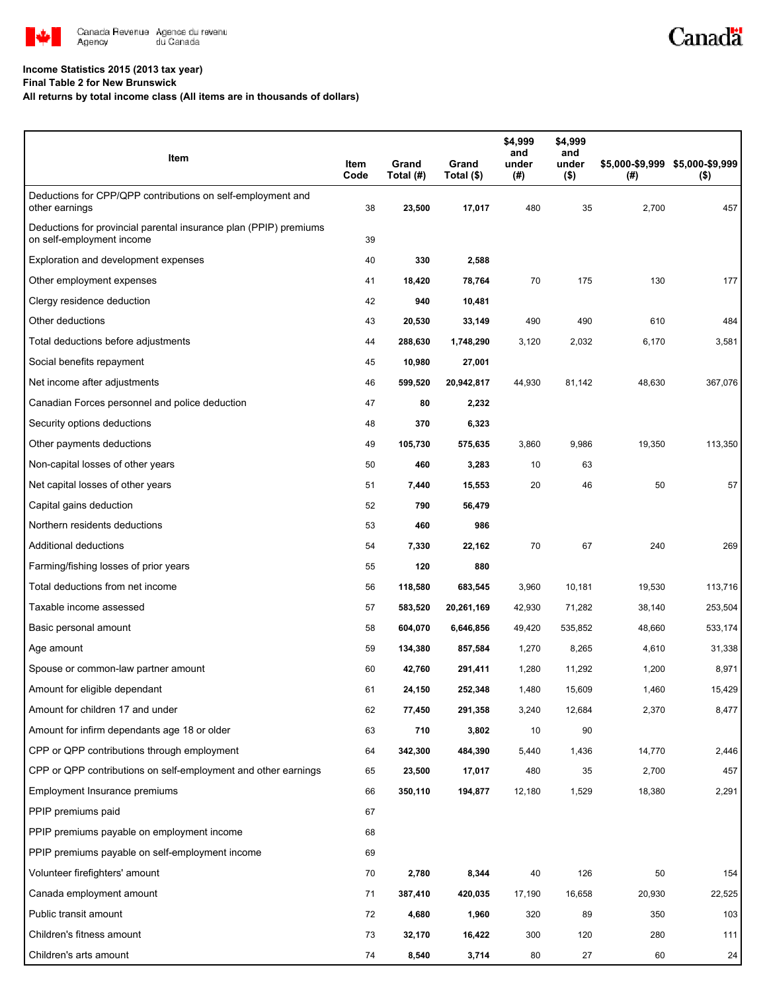

#### **Income Statistics 2015 (2013 tax year)**

**Final Table 2 for New Brunswick**

#### **All returns by total income class (All items are in thousands of dollars)**

| Item                                                                                           | Item<br>Code | Grand<br>Total (#) | Grand<br>Total (\$) | \$4,999<br>and<br>under<br>(#) | \$4,999<br>and<br>under<br>$($ \$) | (#)    | \$5,000-\$9,999 \$5,000-\$9,999<br>$($ \$) |
|------------------------------------------------------------------------------------------------|--------------|--------------------|---------------------|--------------------------------|------------------------------------|--------|--------------------------------------------|
| Deductions for CPP/QPP contributions on self-employment and<br>other earnings                  | 38           | 23,500             | 17,017              | 480                            | 35                                 | 2,700  | 457                                        |
| Deductions for provincial parental insurance plan (PPIP) premiums<br>on self-employment income | 39           |                    |                     |                                |                                    |        |                                            |
| Exploration and development expenses                                                           | 40           | 330                | 2,588               |                                |                                    |        |                                            |
| Other employment expenses                                                                      | 41           | 18,420             | 78,764              | 70                             | 175                                | 130    | 177                                        |
| Clergy residence deduction                                                                     | 42           | 940                | 10,481              |                                |                                    |        |                                            |
| Other deductions                                                                               | 43           | 20,530             | 33,149              | 490                            | 490                                | 610    | 484                                        |
| Total deductions before adjustments                                                            | 44           | 288,630            | 1,748,290           | 3,120                          | 2,032                              | 6,170  | 3,581                                      |
| Social benefits repayment                                                                      | 45           | 10,980             | 27,001              |                                |                                    |        |                                            |
| Net income after adjustments                                                                   | 46           | 599,520            | 20,942,817          | 44,930                         | 81,142                             | 48,630 | 367,076                                    |
| Canadian Forces personnel and police deduction                                                 | 47           | 80                 | 2,232               |                                |                                    |        |                                            |
| Security options deductions                                                                    | 48           | 370                | 6,323               |                                |                                    |        |                                            |
| Other payments deductions                                                                      | 49           | 105,730            | 575,635             | 3,860                          | 9,986                              | 19,350 | 113,350                                    |
| Non-capital losses of other years                                                              | 50           | 460                | 3,283               | 10                             | 63                                 |        |                                            |
| Net capital losses of other years                                                              | 51           | 7,440              | 15,553              | 20                             | 46                                 | 50     | 57                                         |
| Capital gains deduction                                                                        | 52           | 790                | 56,479              |                                |                                    |        |                                            |
| Northern residents deductions                                                                  | 53           | 460                | 986                 |                                |                                    |        |                                            |
| Additional deductions                                                                          | 54           | 7,330              | 22,162              | 70                             | 67                                 | 240    | 269                                        |
| Farming/fishing losses of prior years                                                          | 55           | 120                | 880                 |                                |                                    |        |                                            |
| Total deductions from net income                                                               | 56           | 118,580            | 683,545             | 3,960                          | 10,181                             | 19,530 | 113,716                                    |
| Taxable income assessed                                                                        | 57           | 583,520            | 20,261,169          | 42,930                         | 71,282                             | 38,140 | 253,504                                    |
| Basic personal amount                                                                          | 58           | 604,070            | 6,646,856           | 49,420                         | 535,852                            | 48,660 | 533,174                                    |
| Age amount                                                                                     | 59           | 134,380            | 857,584             | 1,270                          | 8,265                              | 4,610  | 31,338                                     |
| Spouse or common-law partner amount                                                            | 60           | 42,760             | 291,411             | 1,280                          | 11,292                             | 1,200  | 8,971                                      |
| Amount for eligible dependant                                                                  | 61           | 24,150             | 252.348             | 1,480                          | 15,609                             | 1,460  | 15,429                                     |
| Amount for children 17 and under                                                               | 62           | 77,450             | 291,358             | 3,240                          | 12,684                             | 2,370  | 8,477                                      |
| Amount for infirm dependants age 18 or older                                                   | 63           | 710                | 3,802               | 10                             | 90                                 |        |                                            |
| CPP or QPP contributions through employment                                                    | 64           | 342,300            | 484,390             | 5,440                          | 1,436                              | 14,770 | 2,446                                      |
| CPP or QPP contributions on self-employment and other earnings                                 | 65           | 23,500             | 17,017              | 480                            | 35                                 | 2,700  | 457                                        |
| Employment Insurance premiums                                                                  | 66           | 350,110            | 194,877             | 12,180                         | 1,529                              | 18,380 | 2,291                                      |
| PPIP premiums paid                                                                             | 67           |                    |                     |                                |                                    |        |                                            |
| PPIP premiums payable on employment income                                                     | 68           |                    |                     |                                |                                    |        |                                            |
| PPIP premiums payable on self-employment income                                                | 69           |                    |                     |                                |                                    |        |                                            |
| Volunteer firefighters' amount                                                                 | 70           | 2,780              | 8,344               | 40                             | 126                                | 50     | 154                                        |
| Canada employment amount                                                                       | 71           | 387,410            | 420,035             | 17,190                         | 16,658                             | 20,930 | 22,525                                     |
| Public transit amount                                                                          | 72           | 4,680              | 1,960               | 320                            | 89                                 | 350    | 103                                        |
| Children's fitness amount                                                                      | 73           | 32,170             | 16,422              | 300                            | 120                                | 280    | 111                                        |
| Children's arts amount                                                                         | 74           | 8,540              | 3,714               | 80                             | 27                                 | 60     | 24                                         |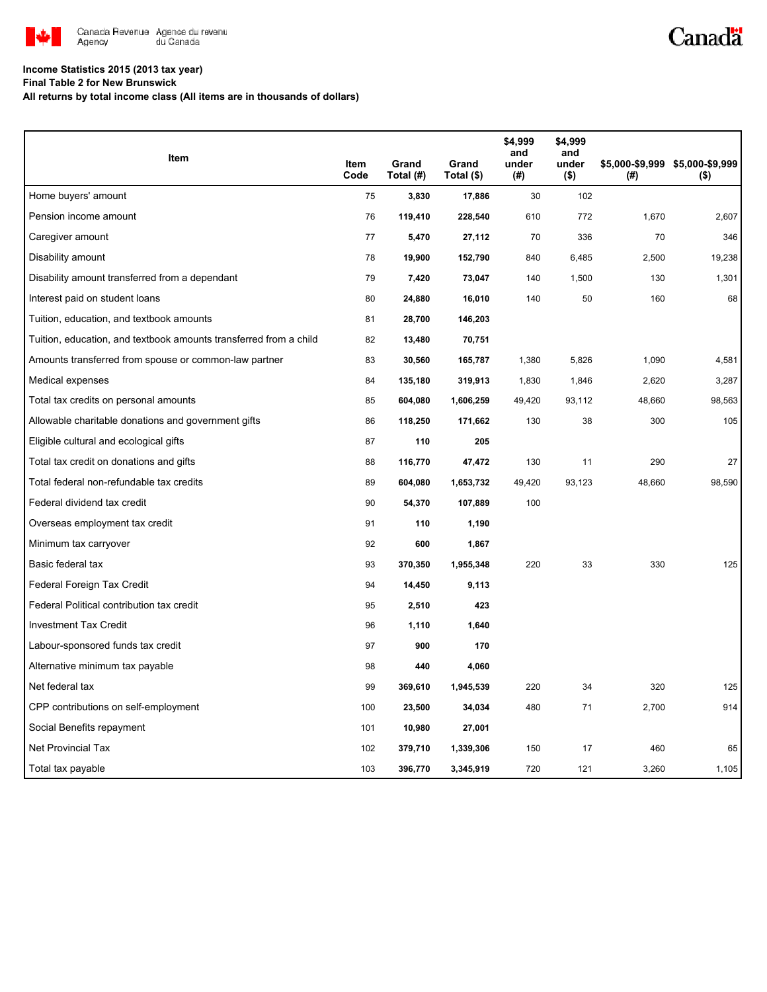

# Canadä

### **Income Statistics 2015 (2013 tax year)**

**Final Table 2 for New Brunswick**

**All returns by total income class (All items are in thousands of dollars)**

| Item                                                              |              |                    |                     | \$4,999<br>and | \$4,999<br>and   |        |                                            |
|-------------------------------------------------------------------|--------------|--------------------|---------------------|----------------|------------------|--------|--------------------------------------------|
|                                                                   | Item<br>Code | Grand<br>Total (#) | Grand<br>Total (\$) | under<br>(#)   | under<br>$($ \$) | (#)    | \$5,000-\$9,999 \$5,000-\$9,999<br>$($ \$) |
| Home buyers' amount                                               | 75           | 3,830              | 17,886              | 30             | 102              |        |                                            |
| Pension income amount                                             | 76           | 119,410            | 228,540             | 610            | 772              | 1,670  | 2,607                                      |
| Caregiver amount                                                  | 77           | 5,470              | 27,112              | 70             | 336              | 70     | 346                                        |
| Disability amount                                                 | 78           | 19,900             | 152,790             | 840            | 6,485            | 2,500  | 19,238                                     |
| Disability amount transferred from a dependant                    | 79           | 7,420              | 73,047              | 140            | 1,500            | 130    | 1,301                                      |
| Interest paid on student loans                                    | 80           | 24,880             | 16,010              | 140            | 50               | 160    | 68                                         |
| Tuition, education, and textbook amounts                          | 81           | 28,700             | 146,203             |                |                  |        |                                            |
| Tuition, education, and textbook amounts transferred from a child | 82           | 13,480             | 70,751              |                |                  |        |                                            |
| Amounts transferred from spouse or common-law partner             | 83           | 30,560             | 165,787             | 1,380          | 5,826            | 1,090  | 4,581                                      |
| Medical expenses                                                  | 84           | 135,180            | 319,913             | 1,830          | 1,846            | 2,620  | 3,287                                      |
| Total tax credits on personal amounts                             | 85           | 604,080            | 1,606,259           | 49,420         | 93,112           | 48,660 | 98,563                                     |
| Allowable charitable donations and government gifts               | 86           | 118,250            | 171,662             | 130            | 38               | 300    | 105                                        |
| Eligible cultural and ecological gifts                            | 87           | 110                | 205                 |                |                  |        |                                            |
| Total tax credit on donations and gifts                           | 88           | 116,770            | 47,472              | 130            | 11               | 290    | 27                                         |
| Total federal non-refundable tax credits                          | 89           | 604,080            | 1,653,732           | 49,420         | 93,123           | 48,660 | 98,590                                     |
| Federal dividend tax credit                                       | 90           | 54,370             | 107,889             | 100            |                  |        |                                            |
| Overseas employment tax credit                                    | 91           | 110                | 1,190               |                |                  |        |                                            |
| Minimum tax carryover                                             | 92           | 600                | 1,867               |                |                  |        |                                            |
| Basic federal tax                                                 | 93           | 370,350            | 1,955,348           | 220            | 33               | 330    | 125                                        |
| Federal Foreign Tax Credit                                        | 94           | 14,450             | 9,113               |                |                  |        |                                            |
| Federal Political contribution tax credit                         | 95           | 2,510              | 423                 |                |                  |        |                                            |
| <b>Investment Tax Credit</b>                                      | 96           | 1,110              | 1,640               |                |                  |        |                                            |
| Labour-sponsored funds tax credit                                 | 97           | 900                | 170                 |                |                  |        |                                            |
| Alternative minimum tax payable                                   | 98           | 440                | 4,060               |                |                  |        |                                            |
| Net federal tax                                                   | 99           | 369,610            | 1,945,539           | 220            | 34               | 320    | 125                                        |
| CPP contributions on self-employment                              | 100          | 23,500             | 34,034              | 480            | 71               | 2,700  | 914                                        |
| Social Benefits repayment                                         | 101          | 10,980             | 27,001              |                |                  |        |                                            |
| <b>Net Provincial Tax</b>                                         | 102          | 379,710            | 1,339,306           | 150            | 17               | 460    | 65                                         |
| Total tax payable                                                 | 103          | 396,770            | 3,345,919           | 720            | 121              | 3,260  | 1,105                                      |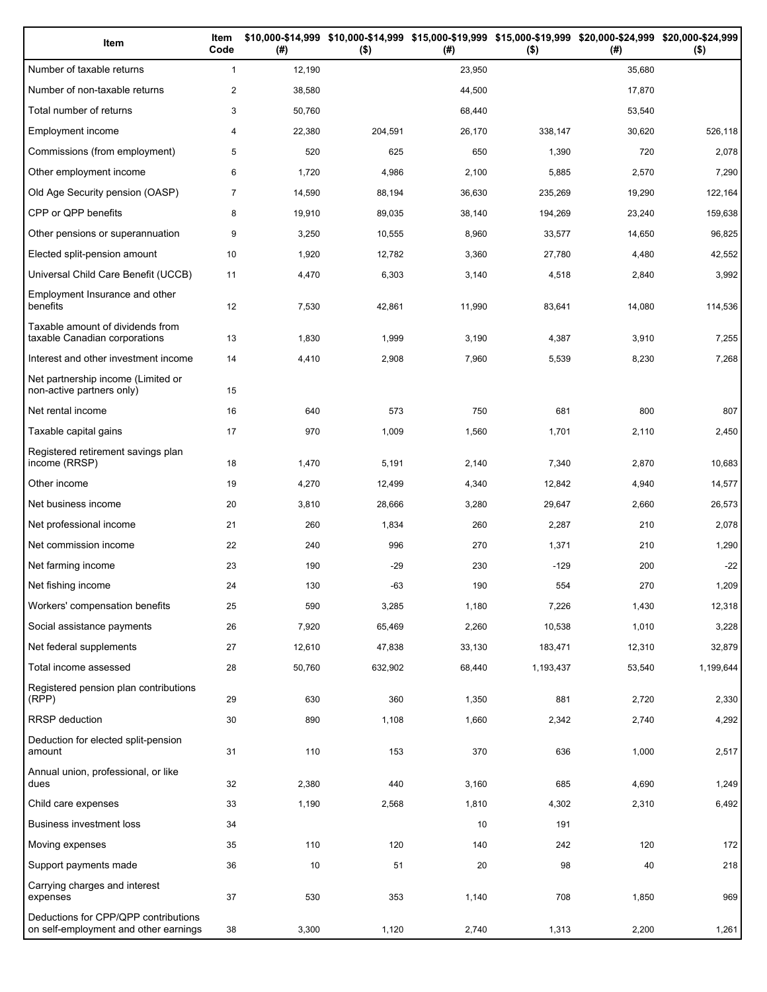| Item                                                                          | Item<br>Code   | (#)    | \$10,000-\$14,999 \$10,000-\$14,999 \$15,000-\$19,999 \$15,000-\$19,999 \$20,000-\$24,999 \$20,000-\$24,999<br>$($ \$) | (#)    | $($ \$)   | (#)    | $($ \$)   |
|-------------------------------------------------------------------------------|----------------|--------|------------------------------------------------------------------------------------------------------------------------|--------|-----------|--------|-----------|
| Number of taxable returns                                                     | $\mathbf{1}$   | 12,190 |                                                                                                                        | 23,950 |           | 35,680 |           |
| Number of non-taxable returns                                                 | $\mathbf{2}$   | 38,580 |                                                                                                                        | 44,500 |           | 17,870 |           |
| Total number of returns                                                       | 3              | 50,760 |                                                                                                                        | 68,440 |           | 53,540 |           |
| Employment income                                                             | 4              | 22,380 | 204,591                                                                                                                | 26,170 | 338,147   | 30,620 | 526,118   |
| Commissions (from employment)                                                 | 5              | 520    | 625                                                                                                                    | 650    | 1,390     | 720    | 2,078     |
| Other employment income                                                       | 6              | 1,720  | 4,986                                                                                                                  | 2,100  | 5,885     | 2,570  | 7,290     |
| Old Age Security pension (OASP)                                               | $\overline{7}$ | 14,590 | 88,194                                                                                                                 | 36,630 | 235,269   | 19,290 | 122,164   |
| CPP or QPP benefits                                                           | 8              | 19,910 | 89,035                                                                                                                 | 38,140 | 194,269   | 23,240 | 159,638   |
| Other pensions or superannuation                                              | 9              | 3,250  | 10,555                                                                                                                 | 8,960  | 33,577    | 14,650 | 96,825    |
| Elected split-pension amount                                                  | 10             | 1,920  | 12,782                                                                                                                 | 3,360  | 27,780    | 4,480  | 42,552    |
| Universal Child Care Benefit (UCCB)                                           | 11             | 4,470  | 6,303                                                                                                                  | 3,140  | 4,518     | 2,840  | 3,992     |
| Employment Insurance and other<br>benefits                                    | 12             | 7,530  | 42,861                                                                                                                 | 11,990 | 83,641    | 14,080 | 114,536   |
| Taxable amount of dividends from<br>taxable Canadian corporations             | 13             | 1,830  | 1,999                                                                                                                  | 3,190  | 4,387     | 3,910  | 7,255     |
| Interest and other investment income                                          | 14             | 4,410  | 2,908                                                                                                                  | 7,960  | 5,539     | 8,230  | 7,268     |
| Net partnership income (Limited or<br>non-active partners only)               | 15             |        |                                                                                                                        |        |           |        |           |
| Net rental income                                                             | 16             | 640    | 573                                                                                                                    | 750    | 681       | 800    | 807       |
| Taxable capital gains                                                         | 17             | 970    | 1,009                                                                                                                  | 1,560  | 1,701     | 2,110  | 2,450     |
| Registered retirement savings plan<br>income (RRSP)                           | 18             | 1,470  | 5,191                                                                                                                  | 2,140  | 7,340     | 2,870  | 10,683    |
| Other income                                                                  | 19             | 4,270  | 12,499                                                                                                                 | 4,340  | 12,842    | 4,940  | 14,577    |
| Net business income                                                           | 20             | 3,810  | 28,666                                                                                                                 | 3,280  | 29,647    | 2,660  | 26,573    |
| Net professional income                                                       | 21             | 260    | 1,834                                                                                                                  | 260    | 2,287     | 210    | 2,078     |
| Net commission income                                                         | 22             | 240    | 996                                                                                                                    | 270    | 1,371     | 210    | 1,290     |
| Net farming income                                                            | 23             | 190    | $-29$                                                                                                                  | 230    | $-129$    | 200    | $-22$     |
| Net fishing income                                                            | 24             | 130    | -63                                                                                                                    | 190    | 554       | 270    | 1,209     |
| Workers' compensation benefits                                                | 25             | 590    | 3,285                                                                                                                  | 1,180  | 7,226     | 1,430  | 12,318    |
| Social assistance payments                                                    | 26             | 7,920  | 65,469                                                                                                                 | 2,260  | 10,538    | 1,010  | 3,228     |
| Net federal supplements                                                       | 27             | 12,610 | 47,838                                                                                                                 | 33,130 | 183,471   | 12,310 | 32,879    |
| Total income assessed                                                         | 28             | 50,760 | 632,902                                                                                                                | 68,440 | 1,193,437 | 53,540 | 1,199,644 |
| Registered pension plan contributions<br>(RPP)                                | 29             | 630    | 360                                                                                                                    | 1,350  | 881       | 2,720  | 2,330     |
| RRSP deduction                                                                | 30             | 890    | 1,108                                                                                                                  | 1,660  | 2,342     | 2,740  | 4,292     |
| Deduction for elected split-pension<br>amount                                 | 31             | 110    | 153                                                                                                                    | 370    | 636       | 1,000  | 2,517     |
| Annual union, professional, or like<br>dues                                   | 32             | 2,380  | 440                                                                                                                    | 3,160  | 685       | 4,690  | 1,249     |
| Child care expenses                                                           | 33             | 1,190  | 2,568                                                                                                                  | 1,810  | 4,302     | 2,310  | 6,492     |
| Business investment loss                                                      | 34             |        |                                                                                                                        | 10     | 191       |        |           |
| Moving expenses                                                               | 35             | 110    | 120                                                                                                                    | 140    | 242       | 120    | 172       |
| Support payments made                                                         | 36             | 10     | 51                                                                                                                     | 20     | 98        | 40     | 218       |
| Carrying charges and interest<br>expenses                                     | 37             | 530    | 353                                                                                                                    | 1,140  | 708       | 1,850  | 969       |
| Deductions for CPP/QPP contributions<br>on self-employment and other earnings | 38             | 3,300  | 1,120                                                                                                                  | 2,740  | 1,313     | 2,200  | 1,261     |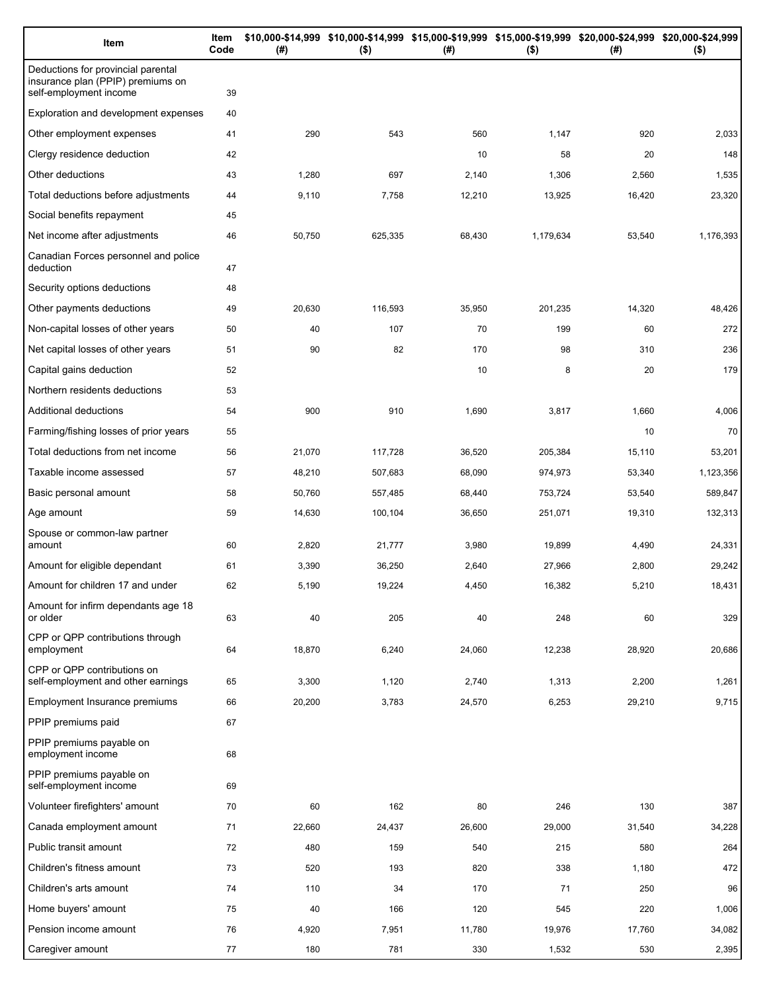| Item                                                                                              | Item<br>Code | (#)    | \$10,000-\$14,999 \$10,000-\$14,999 \$15,000-\$19,999 \$15,000-\$19,999 \$20,000-\$24,999 \$20,000-\$24,999<br>$($ \$) | (#)    | $($ \$)   | (# )   | $($ \$)   |
|---------------------------------------------------------------------------------------------------|--------------|--------|------------------------------------------------------------------------------------------------------------------------|--------|-----------|--------|-----------|
| Deductions for provincial parental<br>insurance plan (PPIP) premiums on<br>self-employment income | 39           |        |                                                                                                                        |        |           |        |           |
| Exploration and development expenses                                                              | 40           |        |                                                                                                                        |        |           |        |           |
| Other employment expenses                                                                         | 41           | 290    | 543                                                                                                                    | 560    | 1,147     | 920    | 2,033     |
| Clergy residence deduction                                                                        | 42           |        |                                                                                                                        | 10     | 58        | 20     | 148       |
| Other deductions                                                                                  | 43           | 1,280  | 697                                                                                                                    | 2,140  | 1,306     | 2,560  | 1,535     |
| Total deductions before adjustments                                                               | 44           | 9,110  | 7,758                                                                                                                  | 12,210 | 13,925    | 16,420 | 23,320    |
| Social benefits repayment                                                                         | 45           |        |                                                                                                                        |        |           |        |           |
| Net income after adjustments                                                                      | 46           | 50,750 | 625,335                                                                                                                | 68,430 | 1,179,634 | 53,540 | 1,176,393 |
| Canadian Forces personnel and police<br>deduction                                                 | 47           |        |                                                                                                                        |        |           |        |           |
| Security options deductions                                                                       | 48           |        |                                                                                                                        |        |           |        |           |
| Other payments deductions                                                                         | 49           | 20,630 | 116,593                                                                                                                | 35,950 | 201,235   | 14,320 | 48,426    |
| Non-capital losses of other years                                                                 | 50           | 40     | 107                                                                                                                    | 70     | 199       | 60     | 272       |
| Net capital losses of other years                                                                 | 51           | 90     | 82                                                                                                                     | 170    | 98        | 310    | 236       |
| Capital gains deduction                                                                           | 52           |        |                                                                                                                        | 10     | 8         | 20     | 179       |
| Northern residents deductions                                                                     | 53           |        |                                                                                                                        |        |           |        |           |
| Additional deductions                                                                             | 54           | 900    | 910                                                                                                                    | 1,690  | 3,817     | 1,660  | 4,006     |
| Farming/fishing losses of prior years                                                             | 55           |        |                                                                                                                        |        |           | 10     | 70        |
| Total deductions from net income                                                                  | 56           | 21,070 | 117,728                                                                                                                | 36,520 | 205,384   | 15,110 | 53,201    |
| Taxable income assessed                                                                           | 57           | 48,210 | 507,683                                                                                                                | 68,090 | 974,973   | 53,340 | 1,123,356 |
| Basic personal amount                                                                             | 58           | 50,760 | 557,485                                                                                                                | 68,440 | 753,724   | 53,540 | 589,847   |
| Age amount                                                                                        | 59           | 14,630 | 100,104                                                                                                                | 36,650 | 251,071   | 19,310 | 132,313   |
| Spouse or common-law partner<br>amount                                                            | 60           | 2,820  | 21,777                                                                                                                 | 3,980  | 19,899    | 4,490  | 24,331    |
| Amount for eligible dependant                                                                     | 61           | 3,390  | 36,250                                                                                                                 | 2,640  | 27,966    | 2,800  | 29,242    |
| Amount for children 17 and under                                                                  | 62           | 5,190  | 19,224                                                                                                                 | 4,450  | 16,382    | 5,210  | 18,431    |
| Amount for infirm dependants age 18<br>or older                                                   | 63           | 40     | 205                                                                                                                    | 40     | 248       | 60     | 329       |
| CPP or QPP contributions through<br>employment                                                    | 64           | 18,870 | 6,240                                                                                                                  | 24,060 | 12,238    | 28,920 | 20,686    |
| CPP or QPP contributions on<br>self-employment and other earnings                                 | 65           | 3,300  | 1,120                                                                                                                  | 2,740  | 1,313     | 2,200  | 1,261     |
| Employment Insurance premiums                                                                     | 66           | 20,200 | 3,783                                                                                                                  | 24,570 | 6,253     | 29,210 | 9,715     |
| PPIP premiums paid                                                                                | 67           |        |                                                                                                                        |        |           |        |           |
| PPIP premiums payable on<br>employment income                                                     | 68           |        |                                                                                                                        |        |           |        |           |
| PPIP premiums payable on<br>self-employment income                                                | 69           |        |                                                                                                                        |        |           |        |           |
| Volunteer firefighters' amount                                                                    | 70           | 60     | 162                                                                                                                    | 80     | 246       | 130    | 387       |
| Canada employment amount                                                                          | 71           | 22,660 | 24,437                                                                                                                 | 26,600 | 29,000    | 31,540 | 34,228    |
| Public transit amount                                                                             | 72           | 480    | 159                                                                                                                    | 540    | 215       | 580    | 264       |
| Children's fitness amount                                                                         | 73           | 520    | 193                                                                                                                    | 820    | 338       | 1,180  | 472       |
| Children's arts amount                                                                            | 74           | 110    | 34                                                                                                                     | 170    | 71        | 250    | 96        |
| Home buyers' amount                                                                               | 75           | 40     | 166                                                                                                                    | 120    | 545       | 220    | 1,006     |
| Pension income amount                                                                             | 76           | 4,920  | 7,951                                                                                                                  | 11,780 | 19,976    | 17,760 | 34,082    |
| Caregiver amount                                                                                  | 77           | 180    | 781                                                                                                                    | 330    | 1,532     | 530    | 2,395     |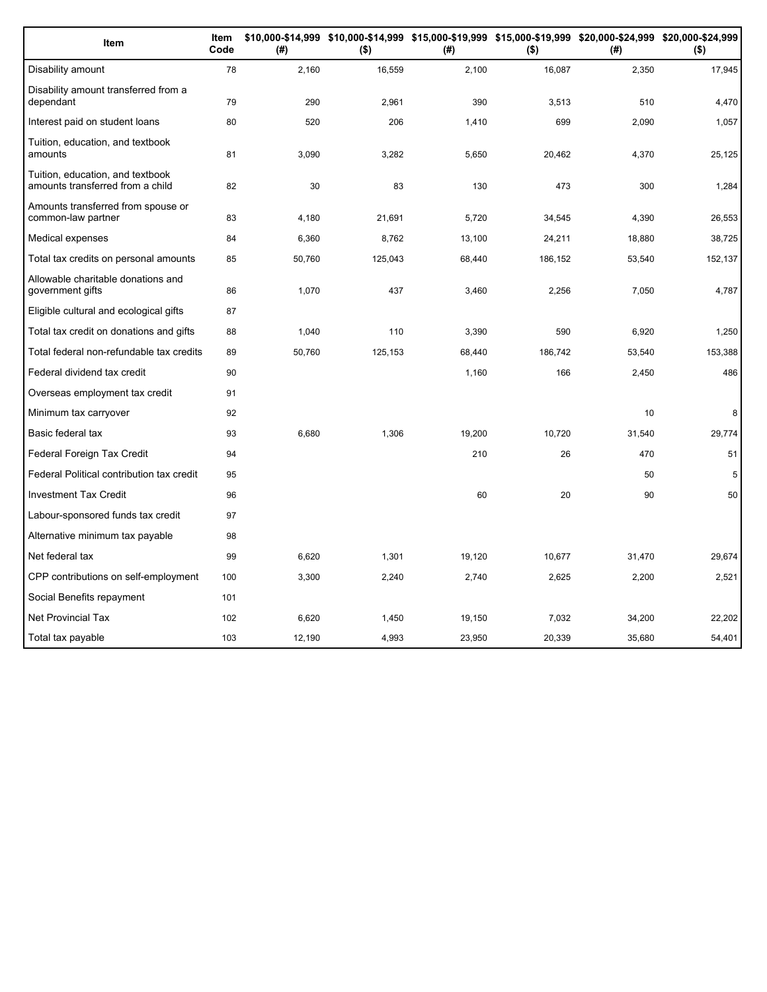| Item                                                                 | Item<br>Code | (#)    | $($ \$) | (#)    | $($ \$) | \$10,000-\$14,999 \$10,000-\$14,999 \$15,000-\$19,999 \$15,000-\$19,999 \$20,000-\$24,999 \$20,000-\$24,999<br>(# ) | $($ \$) |
|----------------------------------------------------------------------|--------------|--------|---------|--------|---------|---------------------------------------------------------------------------------------------------------------------|---------|
| Disability amount                                                    | 78           | 2,160  | 16,559  | 2,100  | 16,087  | 2,350                                                                                                               | 17,945  |
| Disability amount transferred from a<br>dependant                    | 79           | 290    | 2,961   | 390    | 3,513   | 510                                                                                                                 | 4,470   |
| Interest paid on student loans                                       | 80           | 520    | 206     | 1,410  | 699     | 2,090                                                                                                               | 1,057   |
| Tuition, education, and textbook<br>amounts                          | 81           | 3,090  | 3,282   | 5,650  | 20,462  | 4,370                                                                                                               | 25,125  |
| Tuition, education, and textbook<br>amounts transferred from a child | 82           | 30     | 83      | 130    | 473     | 300                                                                                                                 | 1,284   |
| Amounts transferred from spouse or<br>common-law partner             | 83           | 4,180  | 21,691  | 5,720  | 34,545  | 4,390                                                                                                               | 26,553  |
| Medical expenses                                                     | 84           | 6,360  | 8,762   | 13,100 | 24,211  | 18,880                                                                                                              | 38,725  |
| Total tax credits on personal amounts                                | 85           | 50,760 | 125,043 | 68,440 | 186,152 | 53,540                                                                                                              | 152,137 |
| Allowable charitable donations and<br>government gifts               | 86           | 1,070  | 437     | 3,460  | 2,256   | 7,050                                                                                                               | 4,787   |
| Eligible cultural and ecological gifts                               | 87           |        |         |        |         |                                                                                                                     |         |
| Total tax credit on donations and gifts                              | 88           | 1,040  | 110     | 3,390  | 590     | 6,920                                                                                                               | 1,250   |
| Total federal non-refundable tax credits                             | 89           | 50,760 | 125,153 | 68,440 | 186,742 | 53,540                                                                                                              | 153,388 |
| Federal dividend tax credit                                          | 90           |        |         | 1,160  | 166     | 2,450                                                                                                               | 486     |
| Overseas employment tax credit                                       | 91           |        |         |        |         |                                                                                                                     |         |
| Minimum tax carryover                                                | 92           |        |         |        |         | 10                                                                                                                  | 8       |
| Basic federal tax                                                    | 93           | 6,680  | 1,306   | 19,200 | 10,720  | 31,540                                                                                                              | 29,774  |
| Federal Foreign Tax Credit                                           | 94           |        |         | 210    | 26      | 470                                                                                                                 | 51      |
| Federal Political contribution tax credit                            | 95           |        |         |        |         | 50                                                                                                                  | 5       |
| <b>Investment Tax Credit</b>                                         | 96           |        |         | 60     | 20      | 90                                                                                                                  | 50      |
| Labour-sponsored funds tax credit                                    | 97           |        |         |        |         |                                                                                                                     |         |
| Alternative minimum tax payable                                      | 98           |        |         |        |         |                                                                                                                     |         |
| Net federal tax                                                      | 99           | 6,620  | 1,301   | 19,120 | 10,677  | 31,470                                                                                                              | 29,674  |
| CPP contributions on self-employment                                 | 100          | 3,300  | 2,240   | 2,740  | 2,625   | 2,200                                                                                                               | 2,521   |
| Social Benefits repayment                                            | 101          |        |         |        |         |                                                                                                                     |         |
| <b>Net Provincial Tax</b>                                            | 102          | 6,620  | 1,450   | 19,150 | 7,032   | 34,200                                                                                                              | 22,202  |
| Total tax payable                                                    | 103          | 12,190 | 4,993   | 23,950 | 20,339  | 35,680                                                                                                              | 54,401  |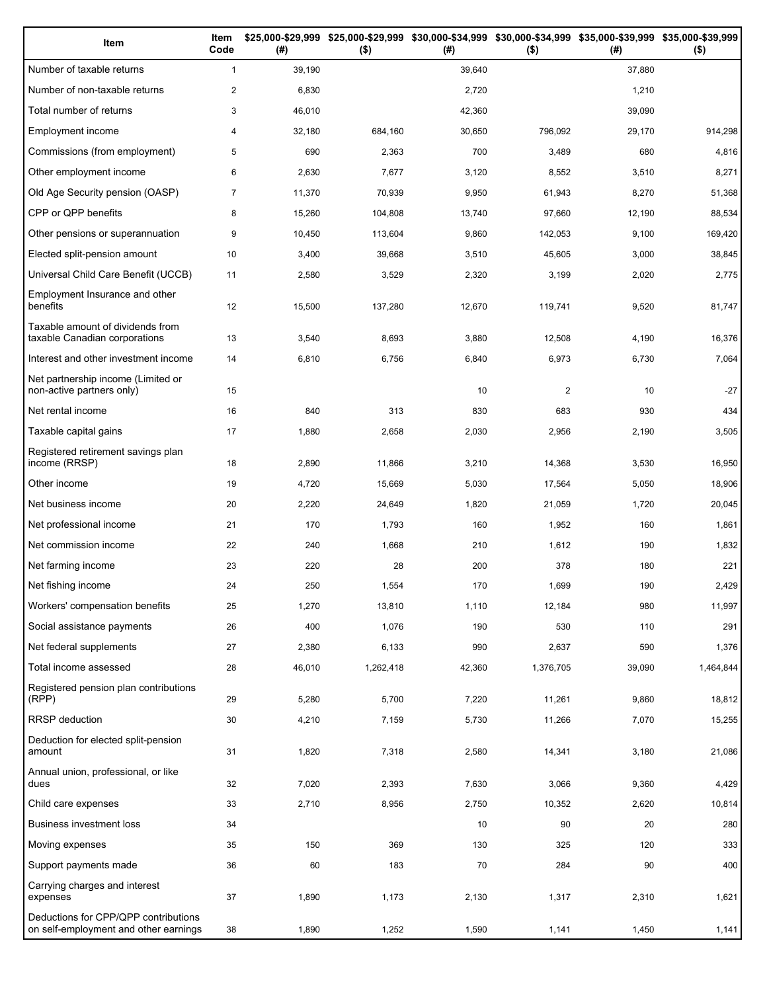| Item                                                                          | Item<br>Code   | (# )   | \$25,000-\$29,999 \$25,000-\$29,999<br>$($ \$) | (# )   | \$30,000-\$34,999 \$30,000-\$34,999 \$35,000-\$39,999 \$35,000-\$39,999<br>$($ \$) | (#)    | $($ \$)   |
|-------------------------------------------------------------------------------|----------------|--------|------------------------------------------------|--------|------------------------------------------------------------------------------------|--------|-----------|
| Number of taxable returns                                                     | $\mathbf{1}$   | 39,190 |                                                | 39,640 |                                                                                    | 37,880 |           |
| Number of non-taxable returns                                                 | $\overline{2}$ | 6,830  |                                                | 2,720  |                                                                                    | 1,210  |           |
| Total number of returns                                                       | 3              | 46,010 |                                                | 42,360 |                                                                                    | 39,090 |           |
| Employment income                                                             | 4              | 32,180 | 684,160                                        | 30,650 | 796,092                                                                            | 29,170 | 914,298   |
| Commissions (from employment)                                                 | 5              | 690    | 2,363                                          | 700    | 3,489                                                                              | 680    | 4,816     |
| Other employment income                                                       | 6              | 2,630  | 7,677                                          | 3,120  | 8,552                                                                              | 3,510  | 8,271     |
| Old Age Security pension (OASP)                                               | $\overline{7}$ | 11,370 | 70,939                                         | 9,950  | 61,943                                                                             | 8,270  | 51,368    |
| CPP or QPP benefits                                                           | 8              | 15,260 | 104,808                                        | 13,740 | 97,660                                                                             | 12,190 | 88,534    |
| Other pensions or superannuation                                              | 9              | 10,450 | 113,604                                        | 9,860  | 142,053                                                                            | 9,100  | 169,420   |
| Elected split-pension amount                                                  | 10             | 3,400  | 39,668                                         | 3,510  | 45,605                                                                             | 3,000  | 38,845    |
| Universal Child Care Benefit (UCCB)                                           | 11             | 2,580  | 3,529                                          | 2,320  | 3,199                                                                              | 2,020  | 2,775     |
| Employment Insurance and other<br>benefits                                    | 12             | 15,500 | 137,280                                        | 12,670 | 119,741                                                                            | 9,520  | 81,747    |
| Taxable amount of dividends from<br>taxable Canadian corporations             | 13             | 3,540  | 8,693                                          | 3,880  | 12,508                                                                             | 4,190  | 16,376    |
| Interest and other investment income                                          | 14             | 6,810  | 6,756                                          | 6,840  | 6,973                                                                              | 6,730  | 7,064     |
| Net partnership income (Limited or<br>non-active partners only)               | 15             |        |                                                | 10     | $\overline{2}$                                                                     | 10     | $-27$     |
| Net rental income                                                             | 16             | 840    | 313                                            | 830    | 683                                                                                | 930    | 434       |
| Taxable capital gains                                                         | 17             | 1,880  | 2,658                                          | 2,030  | 2,956                                                                              | 2,190  | 3,505     |
| Registered retirement savings plan<br>income (RRSP)                           | 18             | 2,890  | 11,866                                         | 3,210  | 14,368                                                                             | 3,530  | 16,950    |
| Other income                                                                  | 19             | 4,720  | 15,669                                         | 5,030  | 17,564                                                                             | 5,050  | 18,906    |
| Net business income                                                           | 20             | 2,220  | 24,649                                         | 1,820  | 21,059                                                                             | 1,720  | 20,045    |
| Net professional income                                                       | 21             | 170    | 1,793                                          | 160    | 1,952                                                                              | 160    | 1,861     |
| Net commission income                                                         | 22             | 240    | 1,668                                          | 210    | 1,612                                                                              | 190    | 1,832     |
| Net farming income                                                            | 23             | 220    | 28                                             | 200    | 378                                                                                | 180    | 221       |
| Net fishing income                                                            | 24             | 250    | 1,554                                          | 170    | 1,699                                                                              | 190    | 2,429     |
| Workers' compensation benefits                                                | 25             | 1,270  | 13,810                                         | 1,110  | 12,184                                                                             | 980    | 11,997    |
| Social assistance payments                                                    | 26             | 400    | 1,076                                          | 190    | 530                                                                                | 110    | 291       |
| Net federal supplements                                                       | 27             | 2,380  | 6,133                                          | 990    | 2,637                                                                              | 590    | 1,376     |
| Total income assessed                                                         | 28             | 46,010 | 1,262,418                                      | 42,360 | 1,376,705                                                                          | 39,090 | 1,464,844 |
| Registered pension plan contributions<br>(RPP)                                | 29             | 5,280  | 5,700                                          | 7,220  | 11,261                                                                             | 9,860  | 18,812    |
| RRSP deduction                                                                | 30             | 4,210  | 7,159                                          | 5,730  | 11,266                                                                             | 7,070  | 15,255    |
| Deduction for elected split-pension<br>amount                                 | 31             | 1,820  | 7,318                                          | 2,580  | 14,341                                                                             | 3,180  | 21,086    |
| Annual union, professional, or like<br>dues                                   | 32             | 7,020  | 2,393                                          | 7,630  | 3,066                                                                              | 9,360  | 4,429     |
| Child care expenses                                                           | 33             | 2,710  | 8,956                                          | 2,750  | 10,352                                                                             | 2,620  | 10,814    |
| Business investment loss                                                      | 34             |        |                                                | 10     | 90                                                                                 | 20     | 280       |
| Moving expenses                                                               | 35             | 150    | 369                                            | 130    | 325                                                                                | 120    | 333       |
| Support payments made                                                         | 36             | 60     | 183                                            | 70     | 284                                                                                | 90     | 400       |
| Carrying charges and interest<br>expenses                                     | 37             | 1,890  | 1,173                                          | 2,130  | 1,317                                                                              | 2,310  | 1,621     |
| Deductions for CPP/QPP contributions<br>on self-employment and other earnings | 38             | 1,890  | 1,252                                          | 1,590  | 1,141                                                                              | 1,450  | 1,141     |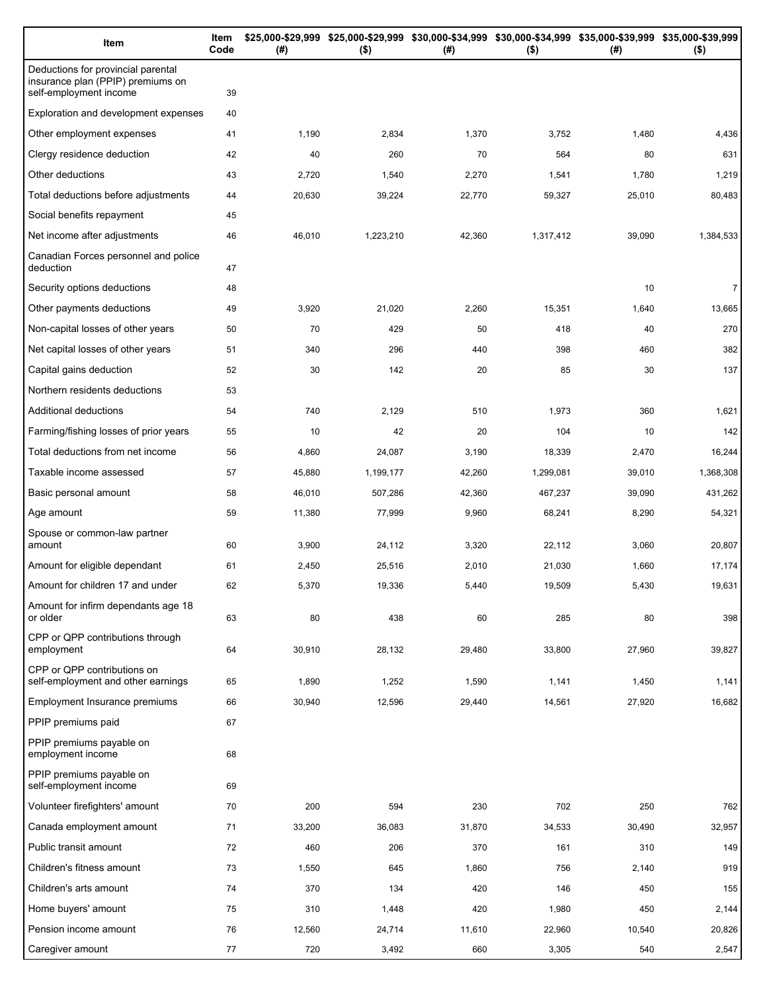| Item                                                                                              | Item<br>Code | (#)    | $($ \$)   | \$25,000-\$29,999 \$25,000-\$29,999 \$30,000-\$34,999 \$30,000-\$34,999 \$35,000-\$39,999 \$35,000-\$39,999<br>(#) | $($ \$)   | (# )   | $($ \$)        |
|---------------------------------------------------------------------------------------------------|--------------|--------|-----------|--------------------------------------------------------------------------------------------------------------------|-----------|--------|----------------|
| Deductions for provincial parental<br>insurance plan (PPIP) premiums on<br>self-employment income | 39           |        |           |                                                                                                                    |           |        |                |
| Exploration and development expenses                                                              | 40           |        |           |                                                                                                                    |           |        |                |
| Other employment expenses                                                                         | 41           | 1,190  | 2,834     | 1,370                                                                                                              | 3,752     | 1,480  | 4,436          |
| Clergy residence deduction                                                                        | 42           | 40     | 260       | 70                                                                                                                 | 564       | 80     | 631            |
| Other deductions                                                                                  | 43           | 2,720  | 1,540     | 2,270                                                                                                              | 1,541     | 1,780  | 1,219          |
| Total deductions before adjustments                                                               | 44           | 20,630 | 39,224    | 22,770                                                                                                             | 59,327    | 25,010 | 80,483         |
| Social benefits repayment                                                                         | 45           |        |           |                                                                                                                    |           |        |                |
| Net income after adjustments                                                                      | 46           | 46,010 | 1,223,210 | 42,360                                                                                                             | 1,317,412 | 39,090 | 1,384,533      |
| Canadian Forces personnel and police<br>deduction                                                 | 47           |        |           |                                                                                                                    |           |        |                |
| Security options deductions                                                                       | 48           |        |           |                                                                                                                    |           | 10     | $\overline{7}$ |
| Other payments deductions                                                                         | 49           | 3,920  | 21,020    | 2,260                                                                                                              | 15,351    | 1,640  | 13,665         |
| Non-capital losses of other years                                                                 | 50           | 70     | 429       | 50                                                                                                                 | 418       | 40     | 270            |
| Net capital losses of other years                                                                 | 51           | 340    | 296       | 440                                                                                                                | 398       | 460    | 382            |
| Capital gains deduction                                                                           | 52           | 30     | 142       | 20                                                                                                                 | 85        | 30     | 137            |
| Northern residents deductions                                                                     | 53           |        |           |                                                                                                                    |           |        |                |
| Additional deductions                                                                             | 54           | 740    | 2,129     | 510                                                                                                                | 1,973     | 360    | 1,621          |
| Farming/fishing losses of prior years                                                             | 55           | 10     | 42        | 20                                                                                                                 | 104       | 10     | 142            |
| Total deductions from net income                                                                  | 56           | 4,860  | 24,087    | 3,190                                                                                                              | 18,339    | 2,470  | 16,244         |
| Taxable income assessed                                                                           | 57           | 45,880 | 1,199,177 | 42,260                                                                                                             | 1,299,081 | 39,010 | 1,368,308      |
| Basic personal amount                                                                             | 58           | 46,010 | 507,286   | 42,360                                                                                                             | 467,237   | 39,090 | 431,262        |
| Age amount                                                                                        | 59           | 11,380 | 77,999    | 9,960                                                                                                              | 68,241    | 8,290  | 54,321         |
| Spouse or common-law partner<br>amount                                                            | 60           | 3,900  | 24,112    | 3,320                                                                                                              | 22,112    | 3,060  | 20,807         |
| Amount for eligible dependant                                                                     | 61           | 2,450  | 25,516    | 2,010                                                                                                              | 21,030    | 1,660  | 17,174         |
| Amount for children 17 and under                                                                  | 62           | 5,370  | 19,336    | 5,440                                                                                                              | 19,509    | 5,430  | 19,631         |
| Amount for infirm dependants age 18<br>or older                                                   | 63           | 80     | 438       | 60                                                                                                                 | 285       | 80     | 398            |
| CPP or QPP contributions through<br>employment                                                    | 64           | 30,910 | 28,132    | 29,480                                                                                                             | 33,800    | 27,960 | 39,827         |
| CPP or QPP contributions on<br>self-employment and other earnings                                 | 65           | 1,890  | 1,252     | 1,590                                                                                                              | 1,141     | 1,450  | 1,141          |
| Employment Insurance premiums                                                                     | 66           | 30,940 | 12,596    | 29,440                                                                                                             | 14,561    | 27,920 | 16,682         |
| PPIP premiums paid                                                                                | 67           |        |           |                                                                                                                    |           |        |                |
| PPIP premiums payable on<br>employment income                                                     | 68           |        |           |                                                                                                                    |           |        |                |
| PPIP premiums payable on<br>self-employment income                                                | 69           |        |           |                                                                                                                    |           |        |                |
| Volunteer firefighters' amount                                                                    | 70           | 200    | 594       | 230                                                                                                                | 702       | 250    | 762            |
| Canada employment amount                                                                          | 71           | 33,200 | 36,083    | 31,870                                                                                                             | 34,533    | 30,490 | 32,957         |
| Public transit amount                                                                             | 72           | 460    | 206       | 370                                                                                                                | 161       | 310    | 149            |
| Children's fitness amount                                                                         | 73           | 1,550  | 645       | 1,860                                                                                                              | 756       | 2,140  | 919            |
| Children's arts amount                                                                            | 74           | 370    | 134       | 420                                                                                                                | 146       | 450    | 155            |
| Home buyers' amount                                                                               | 75           | 310    | 1,448     | 420                                                                                                                | 1,980     | 450    | 2,144          |
| Pension income amount                                                                             | 76           | 12,560 | 24,714    | 11,610                                                                                                             | 22,960    | 10,540 | 20,826         |
| Caregiver amount                                                                                  | 77           | 720    | 3,492     | 660                                                                                                                | 3,305     | 540    | 2,547          |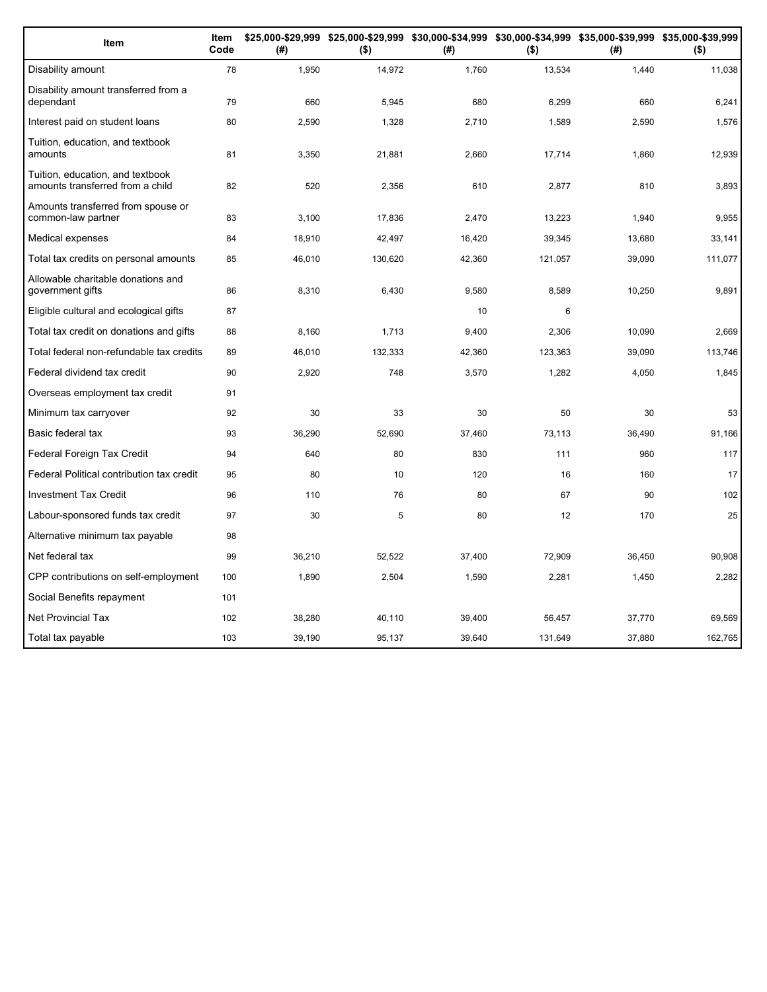| Item                                                                 | Item<br>Code | (#)    | \$25,000-\$29,999 \$25,000-\$29,999 \$30,000-\$34,999 \$30,000-\$34,999 \$35,000-\$39,999 \$35,000-\$39,999<br>$($ \$) | (#)    | $($ \$) | (#)    | $($ \$) |
|----------------------------------------------------------------------|--------------|--------|------------------------------------------------------------------------------------------------------------------------|--------|---------|--------|---------|
| Disability amount                                                    | 78           | 1,950  | 14,972                                                                                                                 | 1,760  | 13,534  | 1,440  | 11,038  |
| Disability amount transferred from a<br>dependant                    | 79           | 660    | 5,945                                                                                                                  | 680    | 6,299   | 660    | 6,241   |
| Interest paid on student loans                                       | 80           | 2,590  | 1,328                                                                                                                  | 2,710  | 1,589   | 2,590  | 1,576   |
| Tuition, education, and textbook<br>amounts                          | 81           | 3,350  | 21,881                                                                                                                 | 2,660  | 17,714  | 1,860  | 12,939  |
| Tuition, education, and textbook<br>amounts transferred from a child | 82           | 520    | 2,356                                                                                                                  | 610    | 2,877   | 810    | 3,893   |
| Amounts transferred from spouse or<br>common-law partner             | 83           | 3,100  | 17,836                                                                                                                 | 2,470  | 13,223  | 1,940  | 9,955   |
| Medical expenses                                                     | 84           | 18,910 | 42,497                                                                                                                 | 16,420 | 39,345  | 13,680 | 33,141  |
| Total tax credits on personal amounts                                | 85           | 46,010 | 130,620                                                                                                                | 42,360 | 121,057 | 39,090 | 111,077 |
| Allowable charitable donations and<br>government gifts               | 86           | 8,310  | 6,430                                                                                                                  | 9,580  | 8,589   | 10,250 | 9,891   |
| Eligible cultural and ecological gifts                               | 87           |        |                                                                                                                        | 10     | 6       |        |         |
| Total tax credit on donations and gifts                              | 88           | 8,160  | 1,713                                                                                                                  | 9,400  | 2,306   | 10,090 | 2,669   |
| Total federal non-refundable tax credits                             | 89           | 46,010 | 132,333                                                                                                                | 42,360 | 123,363 | 39,090 | 113,746 |
| Federal dividend tax credit                                          | 90           | 2,920  | 748                                                                                                                    | 3,570  | 1,282   | 4,050  | 1,845   |
| Overseas employment tax credit                                       | 91           |        |                                                                                                                        |        |         |        |         |
| Minimum tax carryover                                                | 92           | 30     | 33                                                                                                                     | 30     | 50      | 30     | 53      |
| Basic federal tax                                                    | 93           | 36,290 | 52.690                                                                                                                 | 37,460 | 73,113  | 36,490 | 91,166  |
| Federal Foreign Tax Credit                                           | 94           | 640    | 80                                                                                                                     | 830    | 111     | 960    | 117     |
| Federal Political contribution tax credit                            | 95           | 80     | 10                                                                                                                     | 120    | 16      | 160    | 17      |
| <b>Investment Tax Credit</b>                                         | 96           | 110    | 76                                                                                                                     | 80     | 67      | 90     | 102     |
| Labour-sponsored funds tax credit                                    | 97           | 30     | 5                                                                                                                      | 80     | 12      | 170    | 25      |
| Alternative minimum tax payable                                      | 98           |        |                                                                                                                        |        |         |        |         |
| Net federal tax                                                      | 99           | 36,210 | 52,522                                                                                                                 | 37,400 | 72,909  | 36,450 | 90,908  |
| CPP contributions on self-employment                                 | 100          | 1,890  | 2,504                                                                                                                  | 1,590  | 2,281   | 1,450  | 2,282   |
| Social Benefits repayment                                            | 101          |        |                                                                                                                        |        |         |        |         |
| Net Provincial Tax                                                   | 102          | 38,280 | 40,110                                                                                                                 | 39,400 | 56,457  | 37,770 | 69,569  |
| Total tax payable                                                    | 103          | 39,190 | 95,137                                                                                                                 | 39,640 | 131,649 | 37,880 | 162,765 |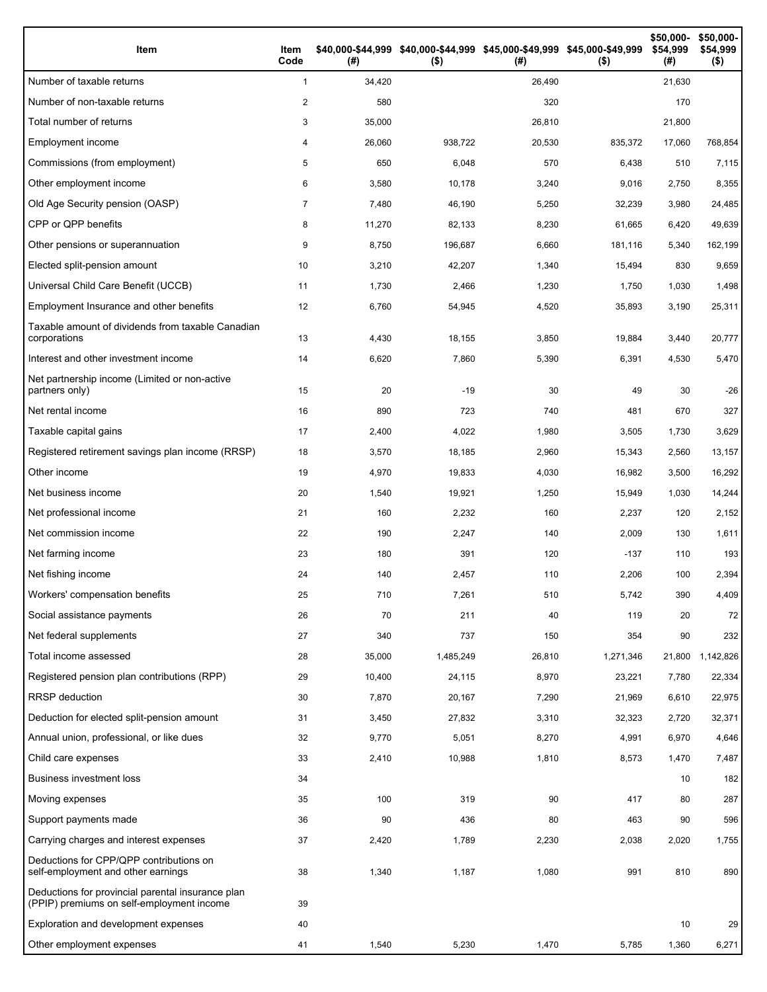| Item                                                                                           | Item<br>Code   | (#)    | \$40,000-\$44,999 \$40,000-\$44,999 \$45,000-\$49,999 \$45,000-\$49,999<br>$($ \$) | (#)    | $($ \$)   | \$50,000-<br>\$54,999<br>(#) | \$50,000-<br>\$54,999<br>$($ \$) |
|------------------------------------------------------------------------------------------------|----------------|--------|------------------------------------------------------------------------------------|--------|-----------|------------------------------|----------------------------------|
| Number of taxable returns                                                                      | $\mathbf{1}$   | 34,420 |                                                                                    | 26,490 |           | 21,630                       |                                  |
| Number of non-taxable returns                                                                  | 2              | 580    |                                                                                    | 320    |           | 170                          |                                  |
| Total number of returns                                                                        | 3              | 35,000 |                                                                                    | 26,810 |           | 21,800                       |                                  |
| Employment income                                                                              | 4              | 26,060 | 938,722                                                                            | 20,530 | 835,372   | 17,060                       | 768,854                          |
| Commissions (from employment)                                                                  | 5              | 650    | 6,048                                                                              | 570    | 6,438     | 510                          | 7,115                            |
| Other employment income                                                                        | 6              | 3,580  | 10,178                                                                             | 3,240  | 9,016     | 2,750                        | 8,355                            |
| Old Age Security pension (OASP)                                                                | $\overline{7}$ | 7,480  | 46,190                                                                             | 5,250  | 32,239    | 3,980                        | 24,485                           |
| CPP or QPP benefits                                                                            | 8              | 11,270 | 82,133                                                                             | 8,230  | 61,665    | 6,420                        | 49,639                           |
| Other pensions or superannuation                                                               | 9              | 8,750  | 196,687                                                                            | 6,660  | 181,116   | 5,340                        | 162,199                          |
| Elected split-pension amount                                                                   | 10             | 3,210  | 42,207                                                                             | 1,340  | 15,494    | 830                          | 9,659                            |
| Universal Child Care Benefit (UCCB)                                                            | 11             | 1,730  | 2,466                                                                              | 1,230  | 1,750     | 1,030                        | 1,498                            |
| Employment Insurance and other benefits                                                        | 12             | 6,760  | 54,945                                                                             | 4,520  | 35,893    | 3,190                        | 25,311                           |
| Taxable amount of dividends from taxable Canadian<br>corporations                              | 13             | 4,430  | 18,155                                                                             | 3,850  | 19,884    | 3,440                        | 20,777                           |
| Interest and other investment income                                                           | 14             | 6,620  | 7,860                                                                              | 5,390  | 6,391     | 4,530                        | 5,470                            |
| Net partnership income (Limited or non-active<br>partners only)                                | 15             | 20     | $-19$                                                                              | 30     | 49        | 30                           | $-26$                            |
| Net rental income                                                                              | 16             | 890    | 723                                                                                | 740    | 481       | 670                          | 327                              |
| Taxable capital gains                                                                          | 17             | 2,400  | 4,022                                                                              | 1,980  | 3,505     | 1,730                        | 3,629                            |
| Registered retirement savings plan income (RRSP)                                               | 18             | 3,570  | 18,185                                                                             | 2,960  | 15,343    | 2,560                        | 13,157                           |
| Other income                                                                                   | 19             | 4,970  | 19,833                                                                             | 4,030  | 16,982    | 3,500                        | 16,292                           |
| Net business income                                                                            | 20             | 1,540  | 19,921                                                                             | 1,250  | 15,949    | 1,030                        | 14,244                           |
| Net professional income                                                                        | 21             | 160    | 2,232                                                                              | 160    | 2,237     | 120                          | 2,152                            |
| Net commission income                                                                          | 22             | 190    | 2,247                                                                              | 140    | 2,009     | 130                          | 1,611                            |
| Net farming income                                                                             | 23             | 180    | 391                                                                                | 120    | $-137$    | 110                          | 193                              |
| Net fishing income                                                                             | 24             | 140    | 2,457                                                                              | 110    | 2,206     | 100                          | 2,394                            |
| Workers' compensation benefits                                                                 | 25             | 710    | 7,261                                                                              | 510    | 5,742     | 390                          | 4,409                            |
| Social assistance payments                                                                     | 26             | 70     | 211                                                                                | 40     | 119       | 20                           | 72                               |
| Net federal supplements                                                                        | 27             | 340    | 737                                                                                | 150    | 354       | 90                           | 232                              |
| Total income assessed                                                                          | 28             | 35,000 | 1,485,249                                                                          | 26,810 | 1,271,346 | 21,800                       | 1,142,826                        |
| Registered pension plan contributions (RPP)                                                    | 29             | 10,400 | 24,115                                                                             | 8,970  | 23,221    | 7,780                        | 22,334                           |
| RRSP deduction                                                                                 | 30             | 7,870  | 20,167                                                                             | 7,290  | 21,969    | 6,610                        | 22,975                           |
| Deduction for elected split-pension amount                                                     | 31             | 3,450  | 27,832                                                                             | 3,310  | 32,323    | 2,720                        | 32,371                           |
| Annual union, professional, or like dues                                                       | 32             | 9,770  | 5,051                                                                              | 8,270  | 4,991     | 6,970                        | 4,646                            |
| Child care expenses                                                                            | 33             | 2,410  | 10,988                                                                             | 1,810  | 8,573     | 1,470                        | 7,487                            |
| <b>Business investment loss</b>                                                                | 34             |        |                                                                                    |        |           | 10                           | 182                              |
| Moving expenses                                                                                | 35             | 100    | 319                                                                                | 90     | 417       | 80                           | 287                              |
| Support payments made                                                                          | 36             | 90     | 436                                                                                | 80     | 463       | 90                           | 596                              |
| Carrying charges and interest expenses                                                         | 37             | 2,420  | 1,789                                                                              | 2,230  | 2,038     | 2,020                        | 1,755                            |
| Deductions for CPP/QPP contributions on<br>self-employment and other earnings                  | 38             | 1,340  | 1,187                                                                              | 1,080  | 991       | 810                          | 890                              |
| Deductions for provincial parental insurance plan<br>(PPIP) premiums on self-employment income | 39             |        |                                                                                    |        |           |                              |                                  |
| Exploration and development expenses                                                           | 40             |        |                                                                                    |        |           | 10                           | 29                               |
| Other employment expenses                                                                      | 41             | 1,540  | 5,230                                                                              | 1,470  | 5,785     | 1,360                        | 6,271                            |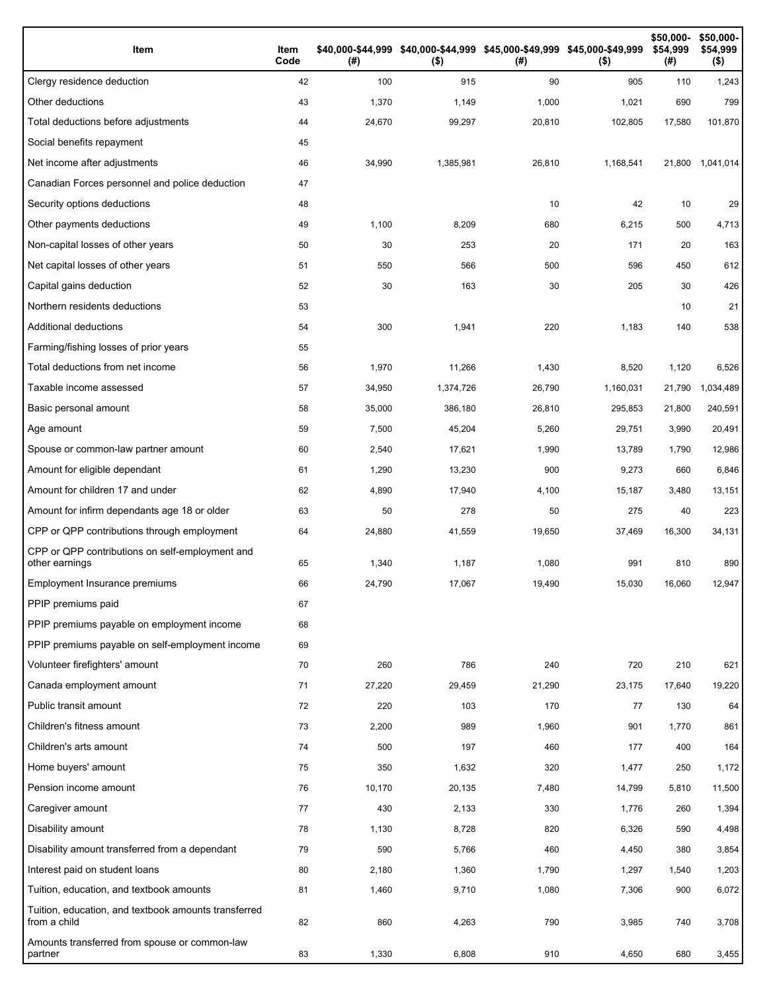| Item                                                                 | Item<br>Code | (# )   | \$40,000-\$44,999 \$40,000-\$44,999 \$45,000-\$49,999 \$45,000-\$49,999<br>$($ \$) | (# )   | $($ \$)   | \$50,000-<br>\$54,999<br>(#) | \$50,000-<br>\$54,999<br>$($ \$) |
|----------------------------------------------------------------------|--------------|--------|------------------------------------------------------------------------------------|--------|-----------|------------------------------|----------------------------------|
| Clergy residence deduction                                           | 42           | 100    | 915                                                                                | 90     | 905       | 110                          | 1,243                            |
| Other deductions                                                     | 43           | 1,370  | 1,149                                                                              | 1,000  | 1,021     | 690                          | 799                              |
| Total deductions before adjustments                                  | 44           | 24,670 | 99,297                                                                             | 20,810 | 102,805   | 17,580                       | 101,870                          |
| Social benefits repayment                                            | 45           |        |                                                                                    |        |           |                              |                                  |
| Net income after adjustments                                         | 46           | 34,990 | 1,385,981                                                                          | 26,810 | 1,168,541 | 21,800                       | 1,041,014                        |
| Canadian Forces personnel and police deduction                       | 47           |        |                                                                                    |        |           |                              |                                  |
| Security options deductions                                          | 48           |        |                                                                                    | 10     | 42        | 10                           | 29                               |
| Other payments deductions                                            | 49           | 1,100  | 8,209                                                                              | 680    | 6,215     | 500                          | 4,713                            |
| Non-capital losses of other years                                    | 50           | 30     | 253                                                                                | 20     | 171       | 20                           | 163                              |
| Net capital losses of other years                                    | 51           | 550    | 566                                                                                | 500    | 596       | 450                          | 612                              |
| Capital gains deduction                                              | 52           | 30     | 163                                                                                | 30     | 205       | 30                           | 426                              |
| Northern residents deductions                                        | 53           |        |                                                                                    |        |           | 10                           | 21                               |
| Additional deductions                                                | 54           | 300    | 1,941                                                                              | 220    | 1,183     | 140                          | 538                              |
| Farming/fishing losses of prior years                                | 55           |        |                                                                                    |        |           |                              |                                  |
| Total deductions from net income                                     | 56           | 1,970  | 11,266                                                                             | 1,430  | 8,520     | 1,120                        | 6,526                            |
| Taxable income assessed                                              | 57           | 34,950 | 1,374,726                                                                          | 26,790 | 1,160,031 | 21,790                       | 1,034,489                        |
| Basic personal amount                                                | 58           | 35,000 | 386,180                                                                            | 26,810 | 295,853   | 21,800                       | 240,591                          |
| Age amount                                                           | 59           | 7,500  | 45,204                                                                             | 5,260  | 29,751    | 3,990                        | 20,491                           |
| Spouse or common-law partner amount                                  | 60           | 2,540  | 17,621                                                                             | 1,990  | 13,789    | 1,790                        | 12,986                           |
| Amount for eligible dependant                                        | 61           | 1,290  | 13,230                                                                             | 900    | 9,273     | 660                          | 6,846                            |
| Amount for children 17 and under                                     | 62           | 4,890  | 17,940                                                                             | 4,100  | 15,187    | 3,480                        | 13,151                           |
| Amount for infirm dependants age 18 or older                         | 63           | 50     | 278                                                                                | 50     | 275       | 40                           | 223                              |
| CPP or QPP contributions through employment                          | 64           | 24,880 | 41,559                                                                             | 19,650 | 37,469    | 16,300                       | 34,131                           |
| CPP or QPP contributions on self-employment and<br>other earnings    | 65           | 1,340  | 1,187                                                                              | 1,080  | 991       | 810                          | 890                              |
| Employment Insurance premiums                                        | 66           | 24,790 | 17,067                                                                             | 19,490 | 15,030    | 16,060                       | 12,947                           |
| PPIP premiums paid                                                   | 67           |        |                                                                                    |        |           |                              |                                  |
| PPIP premiums payable on employment income                           | 68           |        |                                                                                    |        |           |                              |                                  |
| PPIP premiums payable on self-employment income                      | 69           |        |                                                                                    |        |           |                              |                                  |
| Volunteer firefighters' amount                                       | 70           | 260    | 786                                                                                | 240    | 720       | 210                          | 621                              |
| Canada employment amount                                             | 71           | 27,220 | 29,459                                                                             | 21,290 | 23,175    | 17,640                       | 19,220                           |
| Public transit amount                                                | 72           | 220    | 103                                                                                | 170    | 77        | 130                          | 64                               |
| Children's fitness amount                                            | 73           | 2,200  | 989                                                                                | 1,960  | 901       | 1,770                        | 861                              |
| Children's arts amount                                               | 74           | 500    | 197                                                                                | 460    | 177       | 400                          | 164                              |
| Home buyers' amount                                                  | 75           | 350    | 1,632                                                                              | 320    | 1,477     | 250                          | 1,172                            |
| Pension income amount                                                | 76           | 10,170 | 20,135                                                                             | 7,480  | 14,799    | 5,810                        | 11,500                           |
| Caregiver amount                                                     | 77           | 430    | 2,133                                                                              | 330    | 1,776     | 260                          | 1,394                            |
| Disability amount                                                    | 78           | 1,130  | 8,728                                                                              | 820    | 6,326     | 590                          | 4,498                            |
| Disability amount transferred from a dependant                       | 79           | 590    | 5,766                                                                              | 460    | 4,450     | 380                          | 3,854                            |
| Interest paid on student loans                                       | 80           | 2,180  | 1,360                                                                              | 1,790  | 1,297     | 1,540                        | 1,203                            |
| Tuition, education, and textbook amounts                             | 81           | 1,460  | 9,710                                                                              | 1,080  | 7,306     | 900                          | 6,072                            |
| Tuition, education, and textbook amounts transferred<br>from a child | 82           | 860    | 4,263                                                                              | 790    | 3,985     | 740                          | 3,708                            |
| Amounts transferred from spouse or common-law<br>partner             | 83           | 1,330  | 6,808                                                                              | 910    | 4,650     | 680                          | 3,455                            |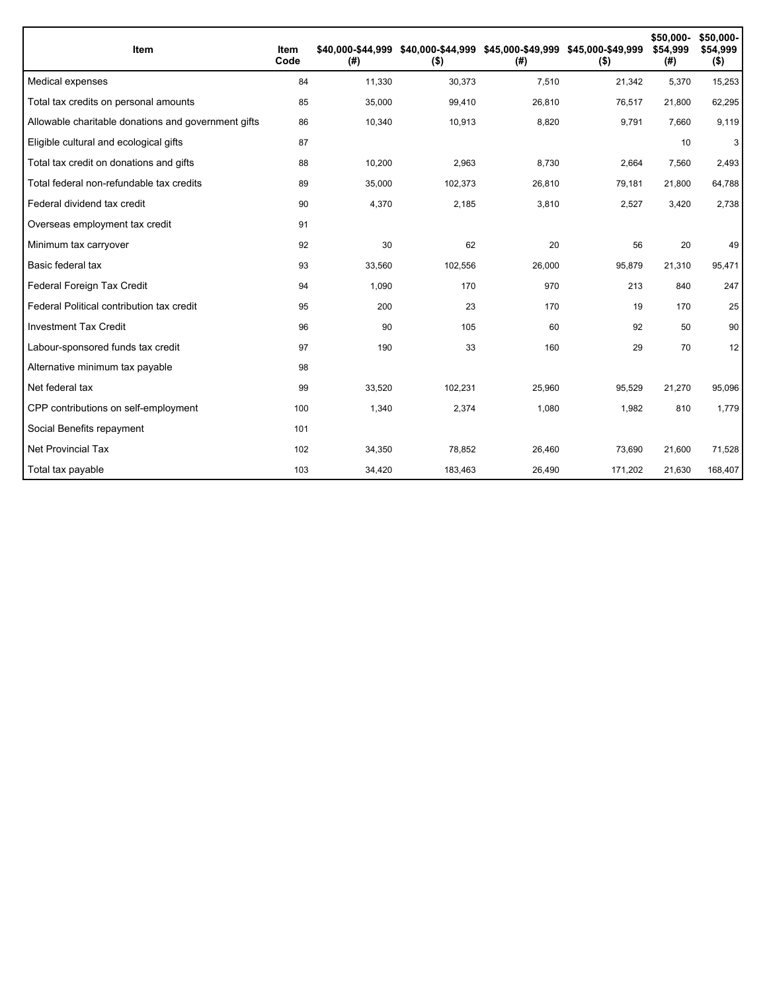| Item                                                | Item<br>Code | \$40.000-\$44.999<br>(#) | $($ \$) | (#)    | \$40,000-\$44,999 \$45,000-\$49,999 \$45,000-\$49,999<br>$($ \$) | \$50,000-<br>\$54,999<br>(#) | \$50,000-<br>\$54,999<br>$($ \$) |
|-----------------------------------------------------|--------------|--------------------------|---------|--------|------------------------------------------------------------------|------------------------------|----------------------------------|
| Medical expenses                                    | 84           | 11,330                   | 30,373  | 7,510  | 21,342                                                           | 5,370                        | 15,253                           |
| Total tax credits on personal amounts               | 85           | 35,000                   | 99,410  | 26,810 | 76,517                                                           | 21,800                       | 62,295                           |
| Allowable charitable donations and government gifts | 86           | 10,340                   | 10,913  | 8,820  | 9,791                                                            | 7,660                        | 9,119                            |
| Eligible cultural and ecological gifts              | 87           |                          |         |        |                                                                  | 10                           | 3                                |
| Total tax credit on donations and gifts             | 88           | 10,200                   | 2,963   | 8,730  | 2,664                                                            | 7,560                        | 2,493                            |
| Total federal non-refundable tax credits            | 89           | 35,000                   | 102,373 | 26,810 | 79,181                                                           | 21,800                       | 64,788                           |
| Federal dividend tax credit                         | 90           | 4,370                    | 2,185   | 3,810  | 2,527                                                            | 3,420                        | 2,738                            |
| Overseas employment tax credit                      | 91           |                          |         |        |                                                                  |                              |                                  |
| Minimum tax carryover                               | 92           | 30                       | 62      | 20     | 56                                                               | 20                           | 49                               |
| Basic federal tax                                   | 93           | 33,560                   | 102,556 | 26,000 | 95,879                                                           | 21,310                       | 95,471                           |
| Federal Foreign Tax Credit                          | 94           | 1,090                    | 170     | 970    | 213                                                              | 840                          | 247                              |
| Federal Political contribution tax credit           | 95           | 200                      | 23      | 170    | 19                                                               | 170                          | 25                               |
| <b>Investment Tax Credit</b>                        | 96           | 90                       | 105     | 60     | 92                                                               | 50                           | 90                               |
| Labour-sponsored funds tax credit                   | 97           | 190                      | 33      | 160    | 29                                                               | 70                           | 12                               |
| Alternative minimum tax payable                     | 98           |                          |         |        |                                                                  |                              |                                  |
| Net federal tax                                     | 99           | 33,520                   | 102,231 | 25,960 | 95,529                                                           | 21,270                       | 95,096                           |
| CPP contributions on self-employment                | 100          | 1,340                    | 2,374   | 1,080  | 1,982                                                            | 810                          | 1,779                            |
| Social Benefits repayment                           | 101          |                          |         |        |                                                                  |                              |                                  |
| <b>Net Provincial Tax</b>                           | 102          | 34,350                   | 78,852  | 26,460 | 73,690                                                           | 21,600                       | 71,528                           |
| Total tax payable                                   | 103          | 34,420                   | 183,463 | 26,490 | 171,202                                                          | 21,630                       | 168,407                          |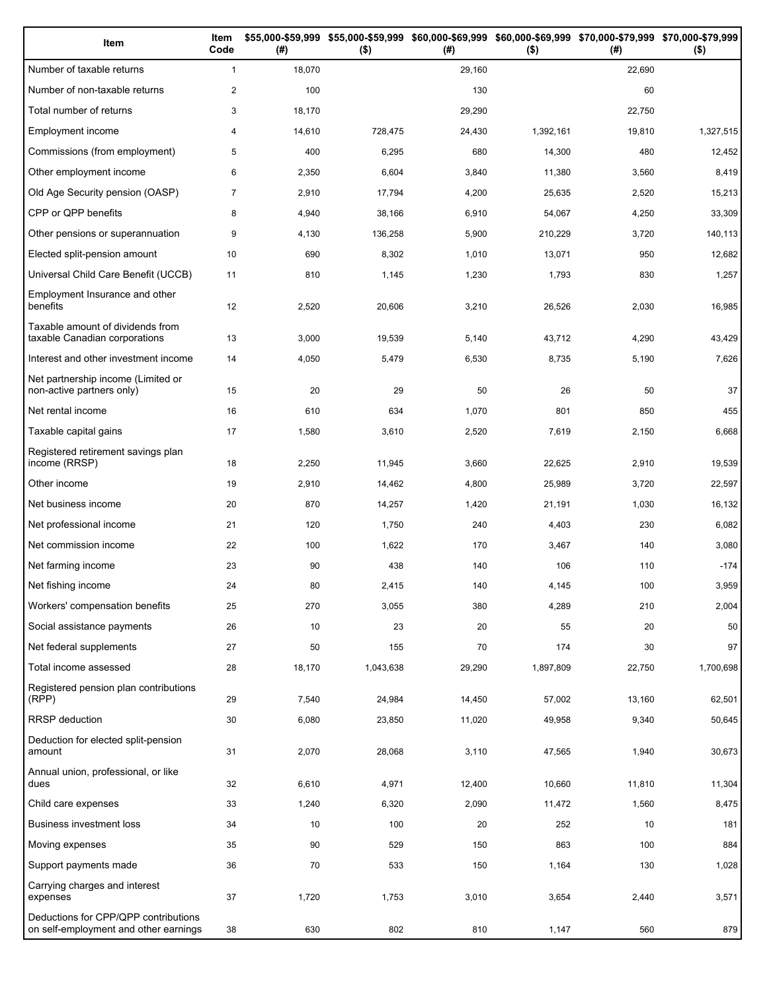| Item                                                                          | Item<br>Code   | (# )   | \$55,000-\$59,999 \$55,000-\$59,999<br>$($ \$) | (# )   | \$60,000-\$69,999 \$60,000-\$69,999 \$70,000-\$79,999 \$70,000-\$79,999<br>$($ \$) | (# )   | $($ \$)   |
|-------------------------------------------------------------------------------|----------------|--------|------------------------------------------------|--------|------------------------------------------------------------------------------------|--------|-----------|
| Number of taxable returns                                                     | $\mathbf{1}$   | 18,070 |                                                | 29,160 |                                                                                    | 22,690 |           |
| Number of non-taxable returns                                                 | $\overline{2}$ | 100    |                                                | 130    |                                                                                    | 60     |           |
| Total number of returns                                                       | 3              | 18,170 |                                                | 29,290 |                                                                                    | 22,750 |           |
| Employment income                                                             | 4              | 14,610 | 728,475                                        | 24,430 | 1,392,161                                                                          | 19,810 | 1,327,515 |
| Commissions (from employment)                                                 | 5              | 400    | 6,295                                          | 680    | 14,300                                                                             | 480    | 12,452    |
| Other employment income                                                       | 6              | 2,350  | 6,604                                          | 3,840  | 11,380                                                                             | 3,560  | 8,419     |
| Old Age Security pension (OASP)                                               | $\overline{7}$ | 2,910  | 17,794                                         | 4,200  | 25,635                                                                             | 2,520  | 15,213    |
| CPP or QPP benefits                                                           | 8              | 4,940  | 38,166                                         | 6,910  | 54,067                                                                             | 4,250  | 33,309    |
| Other pensions or superannuation                                              | 9              | 4,130  | 136,258                                        | 5,900  | 210,229                                                                            | 3,720  | 140,113   |
| Elected split-pension amount                                                  | 10             | 690    | 8,302                                          | 1,010  | 13,071                                                                             | 950    | 12,682    |
| Universal Child Care Benefit (UCCB)                                           | 11             | 810    | 1,145                                          | 1,230  | 1,793                                                                              | 830    | 1,257     |
| Employment Insurance and other<br>benefits                                    | 12             | 2,520  | 20,606                                         | 3,210  | 26,526                                                                             | 2,030  | 16,985    |
| Taxable amount of dividends from<br>taxable Canadian corporations             | 13             | 3,000  | 19,539                                         | 5,140  | 43,712                                                                             | 4,290  | 43,429    |
| Interest and other investment income                                          | 14             | 4,050  | 5,479                                          | 6,530  | 8,735                                                                              | 5,190  | 7,626     |
| Net partnership income (Limited or<br>non-active partners only)               | 15             | 20     | 29                                             | 50     | 26                                                                                 | 50     | 37        |
| Net rental income                                                             | 16             | 610    | 634                                            | 1,070  | 801                                                                                | 850    | 455       |
| Taxable capital gains                                                         | 17             | 1,580  | 3,610                                          | 2,520  | 7,619                                                                              | 2,150  | 6,668     |
| Registered retirement savings plan<br>income (RRSP)                           | 18             | 2,250  | 11,945                                         | 3,660  | 22,625                                                                             | 2,910  | 19,539    |
| Other income                                                                  | 19             | 2,910  | 14,462                                         | 4,800  | 25,989                                                                             | 3,720  | 22,597    |
| Net business income                                                           | 20             | 870    | 14,257                                         | 1,420  | 21,191                                                                             | 1,030  | 16,132    |
| Net professional income                                                       | 21             | 120    | 1,750                                          | 240    | 4,403                                                                              | 230    | 6,082     |
| Net commission income                                                         | 22             | 100    | 1,622                                          | 170    | 3,467                                                                              | 140    | 3,080     |
| Net farming income                                                            | 23             | 90     | 438                                            | 140    | 106                                                                                | 110    | $-174$    |
| Net fishing income                                                            | 24             | 80     | 2.415                                          | 140    | 4,145                                                                              | 100    | 3,959     |
| Workers' compensation benefits                                                | 25             | 270    | 3,055                                          | 380    | 4,289                                                                              | 210    | 2,004     |
| Social assistance payments                                                    | 26             | 10     | 23                                             | 20     | 55                                                                                 | 20     | 50        |
| Net federal supplements                                                       | 27             | 50     | 155                                            | 70     | 174                                                                                | 30     | 97        |
| Total income assessed                                                         | 28             | 18,170 | 1,043,638                                      | 29,290 | 1,897,809                                                                          | 22,750 | 1,700,698 |
| Registered pension plan contributions<br>(RPP)                                | 29             | 7,540  | 24,984                                         | 14,450 | 57,002                                                                             | 13,160 | 62,501    |
| RRSP deduction                                                                | 30             | 6,080  | 23,850                                         | 11,020 | 49,958                                                                             | 9,340  | 50,645    |
| Deduction for elected split-pension<br>amount                                 | 31             | 2,070  | 28,068                                         | 3,110  | 47,565                                                                             | 1,940  | 30,673    |
| Annual union, professional, or like<br>dues                                   | 32             | 6,610  | 4,971                                          | 12,400 | 10,660                                                                             | 11,810 | 11,304    |
| Child care expenses                                                           | 33             | 1,240  | 6,320                                          | 2,090  | 11,472                                                                             | 1,560  | 8,475     |
| Business investment loss                                                      | 34             | 10     | 100                                            | 20     | 252                                                                                | 10     | 181       |
| Moving expenses                                                               | 35             | 90     | 529                                            | 150    | 863                                                                                | 100    | 884       |
| Support payments made                                                         | 36             | 70     | 533                                            | 150    | 1,164                                                                              | 130    | 1,028     |
| Carrying charges and interest<br>expenses                                     | 37             | 1,720  | 1,753                                          | 3,010  | 3,654                                                                              | 2,440  | 3,571     |
| Deductions for CPP/QPP contributions<br>on self-employment and other earnings | 38             | 630    | 802                                            | 810    | 1,147                                                                              | 560    | 879       |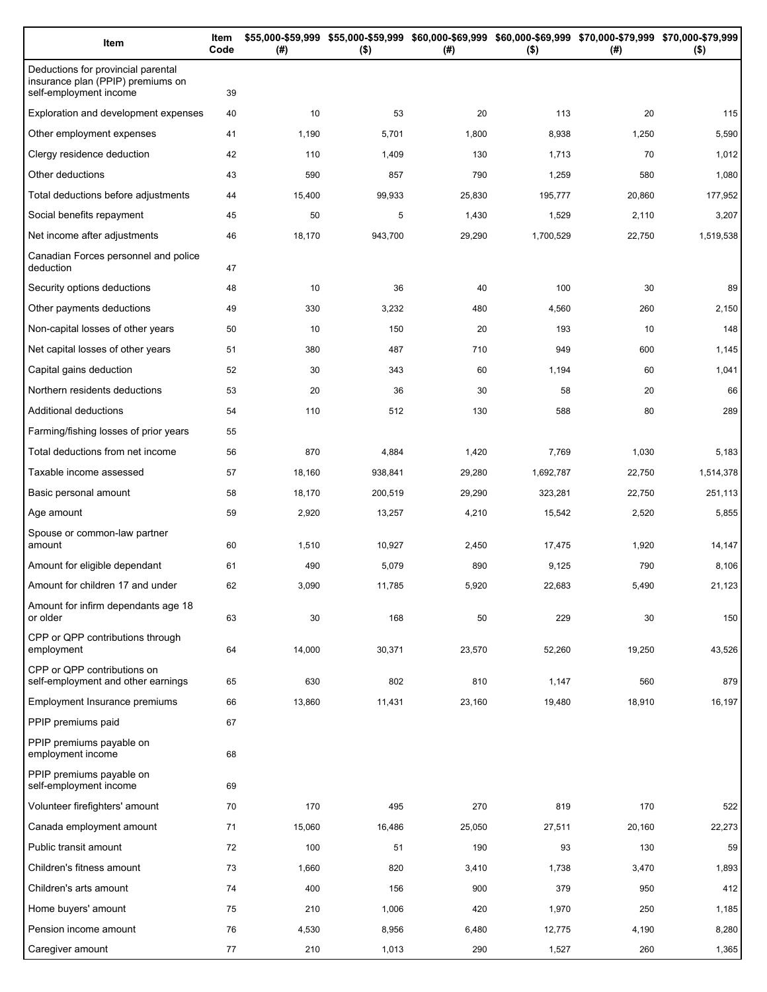| Item                                                                                              | Item<br>Code | (#)    | $($ \$) | \$55,000-\$59,999 \$55,000-\$59,999 \$60,000-\$69,999 \$60,000-\$69,999 \$70,000-\$79,999 \$70,000-\$79,999<br>(#) | $($ \$)   | (#)    | $($ \$)   |
|---------------------------------------------------------------------------------------------------|--------------|--------|---------|--------------------------------------------------------------------------------------------------------------------|-----------|--------|-----------|
| Deductions for provincial parental<br>insurance plan (PPIP) premiums on<br>self-employment income | 39           |        |         |                                                                                                                    |           |        |           |
| Exploration and development expenses                                                              | 40           | 10     | 53      | 20                                                                                                                 | 113       | 20     | 115       |
| Other employment expenses                                                                         | 41           | 1,190  | 5,701   | 1,800                                                                                                              | 8,938     | 1,250  | 5,590     |
| Clergy residence deduction                                                                        | 42           | 110    | 1,409   | 130                                                                                                                | 1,713     | 70     | 1,012     |
| Other deductions                                                                                  | 43           | 590    | 857     | 790                                                                                                                | 1,259     | 580    | 1,080     |
| Total deductions before adjustments                                                               | 44           | 15,400 | 99,933  | 25,830                                                                                                             | 195,777   | 20,860 | 177,952   |
| Social benefits repayment                                                                         | 45           | 50     | 5       | 1,430                                                                                                              | 1,529     | 2,110  | 3,207     |
| Net income after adjustments                                                                      | 46           | 18,170 | 943,700 | 29,290                                                                                                             | 1,700,529 | 22,750 | 1,519,538 |
| Canadian Forces personnel and police<br>deduction                                                 | 47           |        |         |                                                                                                                    |           |        |           |
| Security options deductions                                                                       | 48           | 10     | 36      | 40                                                                                                                 | 100       | 30     | 89        |
| Other payments deductions                                                                         | 49           | 330    | 3,232   | 480                                                                                                                | 4,560     | 260    | 2,150     |
| Non-capital losses of other years                                                                 | 50           | 10     | 150     | 20                                                                                                                 | 193       | 10     | 148       |
| Net capital losses of other years                                                                 | 51           | 380    | 487     | 710                                                                                                                | 949       | 600    | 1,145     |
| Capital gains deduction                                                                           | 52           | 30     | 343     | 60                                                                                                                 | 1,194     | 60     | 1,041     |
| Northern residents deductions                                                                     | 53           | 20     | 36      | 30                                                                                                                 | 58        | 20     | 66        |
| Additional deductions                                                                             | 54           | 110    | 512     | 130                                                                                                                | 588       | 80     | 289       |
| Farming/fishing losses of prior years                                                             | 55           |        |         |                                                                                                                    |           |        |           |
| Total deductions from net income                                                                  | 56           | 870    | 4,884   | 1,420                                                                                                              | 7,769     | 1,030  | 5,183     |
| Taxable income assessed                                                                           | 57           | 18,160 | 938,841 | 29,280                                                                                                             | 1,692,787 | 22,750 | 1,514,378 |
| Basic personal amount                                                                             | 58           | 18,170 | 200,519 | 29,290                                                                                                             | 323,281   | 22,750 | 251,113   |
| Age amount                                                                                        | 59           | 2,920  | 13,257  | 4,210                                                                                                              | 15,542    | 2,520  | 5,855     |
| Spouse or common-law partner<br>amount                                                            | 60           | 1,510  | 10,927  | 2,450                                                                                                              | 17,475    | 1,920  | 14,147    |
| Amount for eligible dependant                                                                     | 61           | 490    | 5,079   | 890                                                                                                                | 9,125     | 790    | 8,106     |
| Amount for children 17 and under                                                                  | 62           | 3,090  | 11,785  | 5,920                                                                                                              | 22,683    | 5,490  | 21,123    |
| Amount for infirm dependants age 18<br>or older                                                   | 63           | 30     | 168     | 50                                                                                                                 | 229       | 30     | 150       |
| CPP or QPP contributions through<br>employment                                                    | 64           | 14,000 | 30,371  | 23,570                                                                                                             | 52,260    | 19,250 | 43,526    |
| CPP or QPP contributions on<br>self-employment and other earnings                                 | 65           | 630    | 802     | 810                                                                                                                | 1,147     | 560    | 879       |
| Employment Insurance premiums                                                                     | 66           | 13,860 | 11,431  | 23,160                                                                                                             | 19,480    | 18,910 | 16,197    |
| PPIP premiums paid                                                                                | 67           |        |         |                                                                                                                    |           |        |           |
| PPIP premiums payable on<br>employment income                                                     | 68           |        |         |                                                                                                                    |           |        |           |
| PPIP premiums payable on<br>self-employment income                                                | 69           |        |         |                                                                                                                    |           |        |           |
| Volunteer firefighters' amount                                                                    | 70           | 170    | 495     | 270                                                                                                                | 819       | 170    | 522       |
| Canada employment amount                                                                          | 71           | 15,060 | 16,486  | 25,050                                                                                                             | 27,511    | 20,160 | 22,273    |
| Public transit amount                                                                             | 72           | 100    | 51      | 190                                                                                                                | 93        | 130    | 59        |
| Children's fitness amount                                                                         | 73           | 1,660  | 820     | 3,410                                                                                                              | 1,738     | 3,470  | 1,893     |
| Children's arts amount                                                                            | 74           | 400    | 156     | 900                                                                                                                | 379       | 950    | 412       |
| Home buyers' amount                                                                               | 75           | 210    | 1,006   | 420                                                                                                                | 1,970     | 250    | 1,185     |
| Pension income amount                                                                             | 76           | 4,530  | 8,956   | 6,480                                                                                                              | 12,775    | 4,190  | 8,280     |
| Caregiver amount                                                                                  | 77           | 210    | 1,013   | 290                                                                                                                | 1,527     | 260    | 1,365     |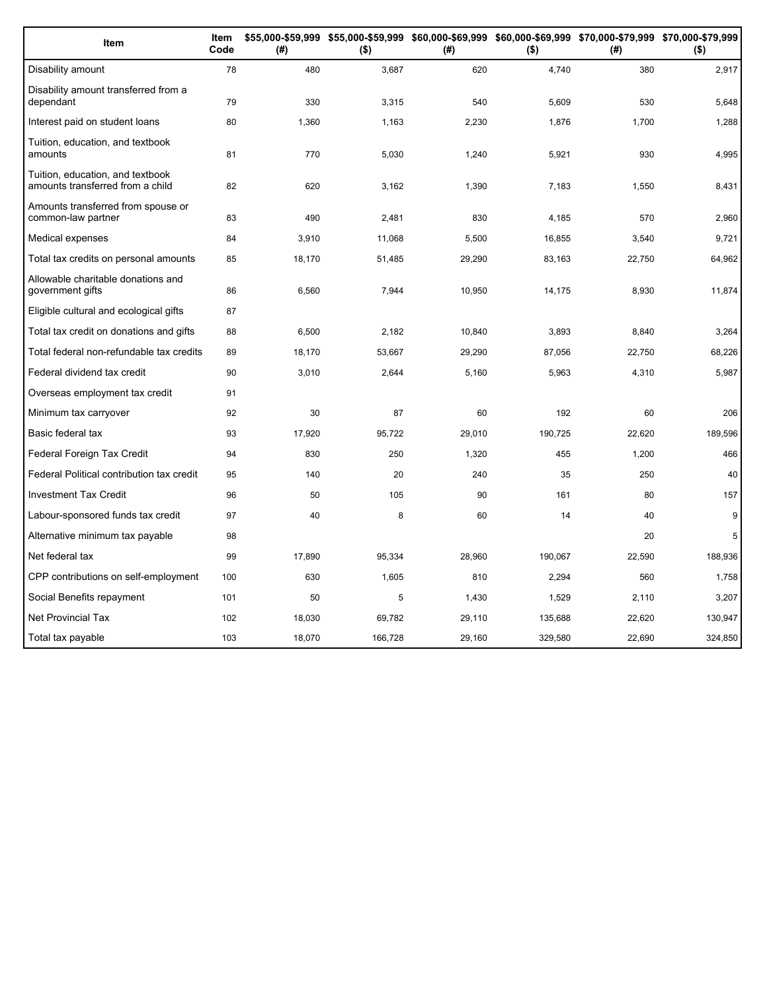| Item                                                                 | Item<br>Code | (# )   | \$55,000-\$59,999 \$55,000-\$59,999 \$60,000-\$69,999 \$60,000-\$69,999 \$70,000-\$79,999 \$70,000-\$79,999<br>$($ \$) | (#)    | $($ \$) | (#)    | $($ \$) |
|----------------------------------------------------------------------|--------------|--------|------------------------------------------------------------------------------------------------------------------------|--------|---------|--------|---------|
| Disability amount                                                    | 78           | 480    | 3,687                                                                                                                  | 620    | 4,740   | 380    | 2,917   |
| Disability amount transferred from a<br>dependant                    | 79           | 330    | 3,315                                                                                                                  | 540    | 5,609   | 530    | 5,648   |
| Interest paid on student loans                                       | 80           | 1,360  | 1,163                                                                                                                  | 2,230  | 1,876   | 1,700  | 1,288   |
| Tuition, education, and textbook<br>amounts                          | 81           | 770    | 5,030                                                                                                                  | 1,240  | 5,921   | 930    | 4,995   |
| Tuition, education, and textbook<br>amounts transferred from a child | 82           | 620    | 3,162                                                                                                                  | 1,390  | 7,183   | 1,550  | 8,431   |
| Amounts transferred from spouse or<br>common-law partner             | 83           | 490    | 2,481                                                                                                                  | 830    | 4,185   | 570    | 2,960   |
| Medical expenses                                                     | 84           | 3,910  | 11,068                                                                                                                 | 5,500  | 16,855  | 3,540  | 9,721   |
| Total tax credits on personal amounts                                | 85           | 18,170 | 51,485                                                                                                                 | 29,290 | 83,163  | 22,750 | 64,962  |
| Allowable charitable donations and<br>government gifts               | 86           | 6,560  | 7,944                                                                                                                  | 10,950 | 14,175  | 8,930  | 11,874  |
| Eligible cultural and ecological gifts                               | 87           |        |                                                                                                                        |        |         |        |         |
| Total tax credit on donations and gifts                              | 88           | 6,500  | 2,182                                                                                                                  | 10,840 | 3.893   | 8,840  | 3,264   |
| Total federal non-refundable tax credits                             | 89           | 18,170 | 53,667                                                                                                                 | 29,290 | 87,056  | 22,750 | 68,226  |
| Federal dividend tax credit                                          | 90           | 3,010  | 2,644                                                                                                                  | 5,160  | 5,963   | 4,310  | 5,987   |
| Overseas employment tax credit                                       | 91           |        |                                                                                                                        |        |         |        |         |
| Minimum tax carryover                                                | 92           | 30     | 87                                                                                                                     | 60     | 192     | 60     | 206     |
| Basic federal tax                                                    | 93           | 17,920 | 95,722                                                                                                                 | 29,010 | 190,725 | 22,620 | 189,596 |
| Federal Foreign Tax Credit                                           | 94           | 830    | 250                                                                                                                    | 1,320  | 455     | 1,200  | 466     |
| Federal Political contribution tax credit                            | 95           | 140    | 20                                                                                                                     | 240    | 35      | 250    | 40      |
| <b>Investment Tax Credit</b>                                         | 96           | 50     | 105                                                                                                                    | 90     | 161     | 80     | 157     |
| Labour-sponsored funds tax credit                                    | 97           | 40     | 8                                                                                                                      | 60     | 14      | 40     | 9       |
| Alternative minimum tax payable                                      | 98           |        |                                                                                                                        |        |         | 20     | 5       |
| Net federal tax                                                      | 99           | 17,890 | 95,334                                                                                                                 | 28,960 | 190,067 | 22,590 | 188,936 |
| CPP contributions on self-employment                                 | 100          | 630    | 1,605                                                                                                                  | 810    | 2,294   | 560    | 1,758   |
| Social Benefits repayment                                            | 101          | 50     | 5                                                                                                                      | 1,430  | 1,529   | 2,110  | 3,207   |
| <b>Net Provincial Tax</b>                                            | 102          | 18,030 | 69,782                                                                                                                 | 29,110 | 135,688 | 22,620 | 130,947 |
| Total tax payable                                                    | 103          | 18,070 | 166,728                                                                                                                | 29,160 | 329,580 | 22,690 | 324,850 |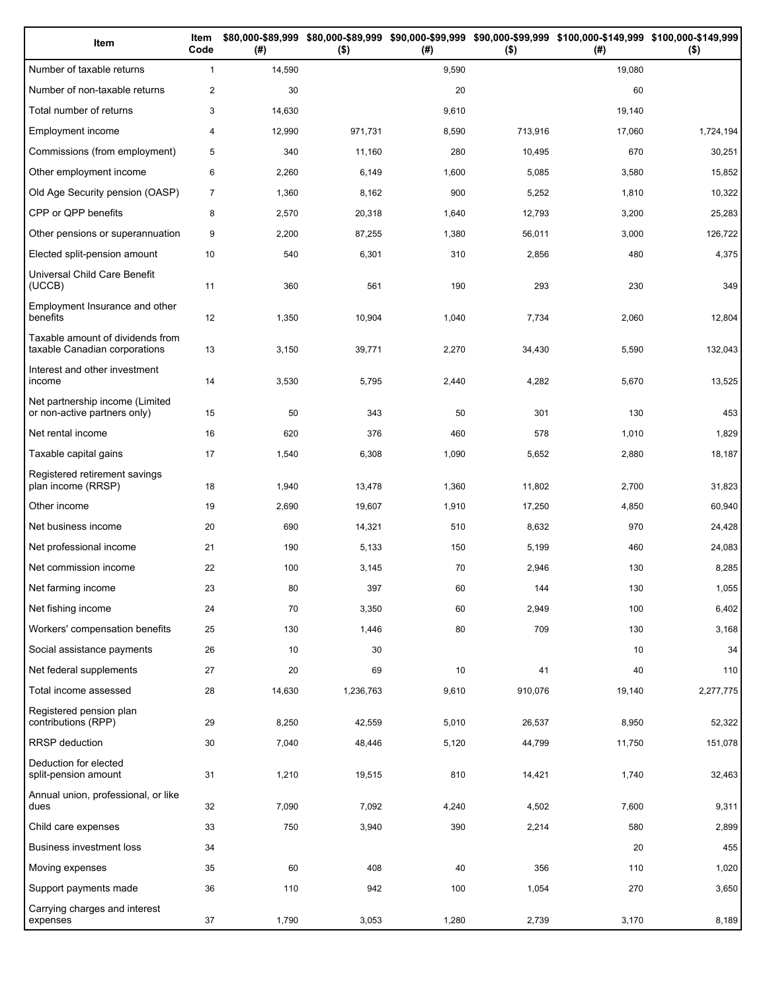| Item                                                              | Item<br>Code   | (#)    | $($ \$)   | (#)   | $($ \$) | \$80,000-\$89,999 \$80,000-\$89,999 \$90,000-\$99,999 \$90,000-\$99,999 \$100,000-\$149,999 \$100,000-\$149,999<br>(# ) | $($ \$)   |
|-------------------------------------------------------------------|----------------|--------|-----------|-------|---------|-------------------------------------------------------------------------------------------------------------------------|-----------|
| Number of taxable returns                                         | $\mathbf{1}$   | 14,590 |           | 9,590 |         | 19,080                                                                                                                  |           |
| Number of non-taxable returns                                     | $\overline{2}$ | 30     |           | 20    |         | 60                                                                                                                      |           |
| Total number of returns                                           | 3              | 14,630 |           | 9,610 |         | 19,140                                                                                                                  |           |
| Employment income                                                 | 4              | 12,990 | 971,731   | 8,590 | 713,916 | 17,060                                                                                                                  | 1,724,194 |
| Commissions (from employment)                                     | 5              | 340    | 11,160    | 280   | 10,495  | 670                                                                                                                     | 30,251    |
| Other employment income                                           | 6              | 2,260  | 6,149     | 1,600 | 5,085   | 3,580                                                                                                                   | 15,852    |
| Old Age Security pension (OASP)                                   | $\overline{7}$ | 1,360  | 8,162     | 900   | 5,252   | 1,810                                                                                                                   | 10,322    |
| CPP or QPP benefits                                               | 8              | 2,570  | 20,318    | 1,640 | 12,793  | 3,200                                                                                                                   | 25,283    |
| Other pensions or superannuation                                  | 9              | 2,200  | 87,255    | 1,380 | 56,011  | 3,000                                                                                                                   | 126,722   |
| Elected split-pension amount                                      | 10             | 540    | 6,301     | 310   | 2,856   | 480                                                                                                                     | 4,375     |
| Universal Child Care Benefit<br>(UCCB)                            | 11             | 360    | 561       | 190   | 293     | 230                                                                                                                     | 349       |
| Employment Insurance and other<br>benefits                        | 12             | 1,350  | 10,904    | 1,040 | 7,734   | 2,060                                                                                                                   | 12,804    |
| Taxable amount of dividends from<br>taxable Canadian corporations | 13             | 3,150  | 39,771    | 2,270 | 34,430  | 5,590                                                                                                                   | 132,043   |
| Interest and other investment<br>income                           | 14             | 3,530  | 5,795     | 2,440 | 4,282   | 5,670                                                                                                                   | 13,525    |
| Net partnership income (Limited<br>or non-active partners only)   | 15             | 50     | 343       | 50    | 301     | 130                                                                                                                     | 453       |
| Net rental income                                                 | 16             | 620    | 376       | 460   | 578     | 1,010                                                                                                                   | 1,829     |
| Taxable capital gains                                             | 17             | 1,540  | 6,308     | 1,090 | 5,652   | 2,880                                                                                                                   | 18,187    |
| Registered retirement savings<br>plan income (RRSP)               | 18             | 1,940  | 13,478    | 1,360 | 11,802  | 2,700                                                                                                                   | 31,823    |
| Other income                                                      | 19             | 2,690  | 19,607    | 1,910 | 17,250  | 4,850                                                                                                                   | 60,940    |
| Net business income                                               | 20             | 690    | 14,321    | 510   | 8,632   | 970                                                                                                                     | 24,428    |
| Net professional income                                           | 21             | 190    | 5,133     | 150   | 5,199   | 460                                                                                                                     | 24,083    |
| Net commission income                                             | 22             | 100    | 3,145     | 70    | 2,946   | 130                                                                                                                     | 8,285     |
| Net farming income                                                | 23             | 80     | 397       | 60    | 144     | 130                                                                                                                     | 1,055     |
| Net fishing income                                                | 24             | 70     | 3,350     | 60    | 2,949   | 100                                                                                                                     | 6,402     |
| Workers' compensation benefits                                    | 25             | 130    | 1,446     | 80    | 709     | 130                                                                                                                     | 3,168     |
| Social assistance payments                                        | 26             | 10     | 30        |       |         | 10                                                                                                                      | 34        |
| Net federal supplements                                           | 27             | 20     | 69        | 10    | 41      | 40                                                                                                                      | 110       |
| Total income assessed                                             | 28             | 14,630 | 1,236,763 | 9,610 | 910,076 | 19,140                                                                                                                  | 2,277,775 |
| Registered pension plan<br>contributions (RPP)                    | 29             | 8,250  | 42,559    | 5,010 | 26,537  | 8,950                                                                                                                   | 52,322    |
| RRSP deduction                                                    | 30             | 7,040  | 48,446    | 5,120 | 44,799  | 11,750                                                                                                                  | 151,078   |
| Deduction for elected<br>split-pension amount                     | 31             | 1,210  | 19,515    | 810   | 14,421  | 1,740                                                                                                                   | 32,463    |
| Annual union, professional, or like<br>dues                       | 32             | 7,090  | 7,092     | 4,240 | 4,502   | 7,600                                                                                                                   | 9,311     |
| Child care expenses                                               | 33             | 750    | 3,940     | 390   | 2,214   | 580                                                                                                                     | 2,899     |
| <b>Business investment loss</b>                                   | 34             |        |           |       |         | 20                                                                                                                      | 455       |
| Moving expenses                                                   | 35             | 60     | 408       | 40    | 356     | 110                                                                                                                     | 1,020     |
| Support payments made                                             | 36             | 110    | 942       | 100   | 1,054   | 270                                                                                                                     | 3,650     |
| Carrying charges and interest<br>expenses                         | 37             | 1,790  | 3,053     | 1,280 | 2,739   | 3,170                                                                                                                   | 8,189     |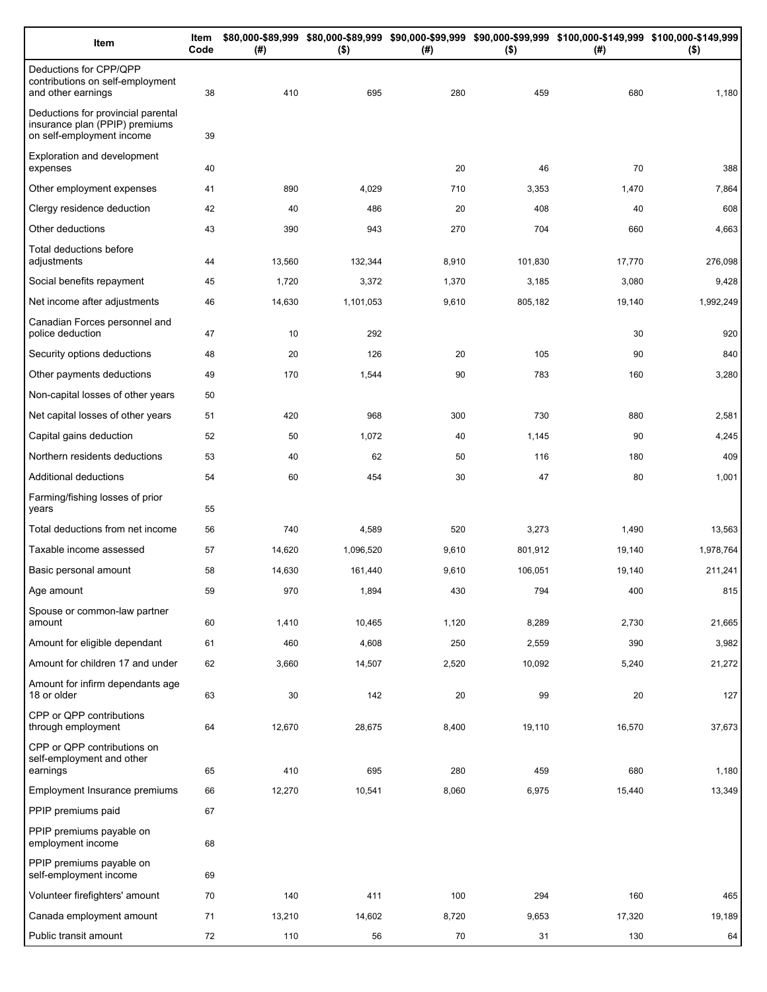| Item                                                                                              | Item<br>Code | (# )   | $($ \$)   | (#)   | $($ \$) | \$80,000-\$89,999 \$80,000-\$89,999 \$90,000-\$99,999 \$90,000-\$99,999 \$100,000-\$149,999 \$100,000-\$149,999<br>(#) | $($ \$)   |
|---------------------------------------------------------------------------------------------------|--------------|--------|-----------|-------|---------|------------------------------------------------------------------------------------------------------------------------|-----------|
| Deductions for CPP/QPP<br>contributions on self-employment<br>and other earnings                  | 38           | 410    | 695       | 280   | 459     | 680                                                                                                                    | 1,180     |
| Deductions for provincial parental<br>insurance plan (PPIP) premiums<br>on self-employment income | 39           |        |           |       |         |                                                                                                                        |           |
| Exploration and development<br>expenses                                                           | 40           |        |           | 20    | 46      | 70                                                                                                                     | 388       |
| Other employment expenses                                                                         | 41           | 890    | 4,029     | 710   | 3,353   | 1,470                                                                                                                  | 7,864     |
| Clergy residence deduction                                                                        | 42           | 40     | 486       | 20    | 408     | 40                                                                                                                     | 608       |
| Other deductions                                                                                  | 43           | 390    | 943       | 270   | 704     | 660                                                                                                                    | 4,663     |
| Total deductions before<br>adjustments                                                            | 44           | 13,560 | 132,344   | 8,910 | 101,830 | 17,770                                                                                                                 | 276,098   |
| Social benefits repayment                                                                         | 45           | 1,720  | 3,372     | 1,370 | 3,185   | 3,080                                                                                                                  | 9,428     |
| Net income after adjustments                                                                      | 46           | 14,630 | 1,101,053 | 9,610 | 805,182 | 19,140                                                                                                                 | 1,992,249 |
| Canadian Forces personnel and<br>police deduction                                                 | 47           | 10     | 292       |       |         | 30                                                                                                                     | 920       |
| Security options deductions                                                                       | 48           | 20     | 126       | 20    | 105     | 90                                                                                                                     | 840       |
| Other payments deductions                                                                         | 49           | 170    | 1,544     | 90    | 783     | 160                                                                                                                    | 3,280     |
| Non-capital losses of other years                                                                 | 50           |        |           |       |         |                                                                                                                        |           |
| Net capital losses of other years                                                                 | 51           | 420    | 968       | 300   | 730     | 880                                                                                                                    | 2,581     |
| Capital gains deduction                                                                           | 52           | 50     | 1,072     | 40    | 1,145   | 90                                                                                                                     | 4,245     |
| Northern residents deductions                                                                     | 53           | 40     | 62        | 50    | 116     | 180                                                                                                                    | 409       |
| Additional deductions                                                                             | 54           | 60     | 454       | 30    | 47      | 80                                                                                                                     | 1,001     |
| Farming/fishing losses of prior<br>years                                                          | 55           |        |           |       |         |                                                                                                                        |           |
| Total deductions from net income                                                                  | 56           | 740    | 4,589     | 520   | 3,273   | 1,490                                                                                                                  | 13,563    |
| Taxable income assessed                                                                           | 57           | 14,620 | 1,096,520 | 9,610 | 801,912 | 19,140                                                                                                                 | 1,978,764 |
| Basic personal amount                                                                             | 58           | 14,630 | 161,440   | 9,610 | 106,051 | 19,140                                                                                                                 | 211,241   |
| Age amount                                                                                        | 59           | 970    | 1,894     | 430   | 794     | 400                                                                                                                    | 815       |
| Spouse or common-law partner<br>amount                                                            | 60           | 1,410  | 10,465    | 1,120 | 8,289   | 2,730                                                                                                                  | 21,665    |
| Amount for eligible dependant                                                                     | 61           | 460    | 4,608     | 250   | 2,559   | 390                                                                                                                    | 3,982     |
| Amount for children 17 and under                                                                  | 62           | 3,660  | 14,507    | 2,520 | 10,092  | 5,240                                                                                                                  | 21,272    |
| Amount for infirm dependants age<br>18 or older                                                   | 63           | 30     | 142       | 20    | 99      | 20                                                                                                                     | 127       |
| CPP or QPP contributions<br>through employment                                                    | 64           | 12,670 | 28,675    | 8,400 | 19,110  | 16,570                                                                                                                 | 37,673    |
| CPP or QPP contributions on<br>self-employment and other                                          |              |        |           |       |         |                                                                                                                        |           |
| earnings                                                                                          | 65           | 410    | 695       | 280   | 459     | 680                                                                                                                    | 1,180     |
| Employment Insurance premiums                                                                     | 66           | 12,270 | 10,541    | 8,060 | 6,975   | 15,440                                                                                                                 | 13,349    |
| PPIP premiums paid                                                                                | 67           |        |           |       |         |                                                                                                                        |           |
| PPIP premiums payable on<br>employment income                                                     | 68           |        |           |       |         |                                                                                                                        |           |
| PPIP premiums payable on<br>self-employment income                                                | 69           |        |           |       |         |                                                                                                                        |           |
| Volunteer firefighters' amount                                                                    | 70           | 140    | 411       | 100   | 294     | 160                                                                                                                    | 465       |
| Canada employment amount                                                                          | 71           | 13,210 | 14,602    | 8,720 | 9,653   | 17,320                                                                                                                 | 19,189    |
| Public transit amount                                                                             | 72           | 110    | 56        | 70    | 31      | 130                                                                                                                    | 64        |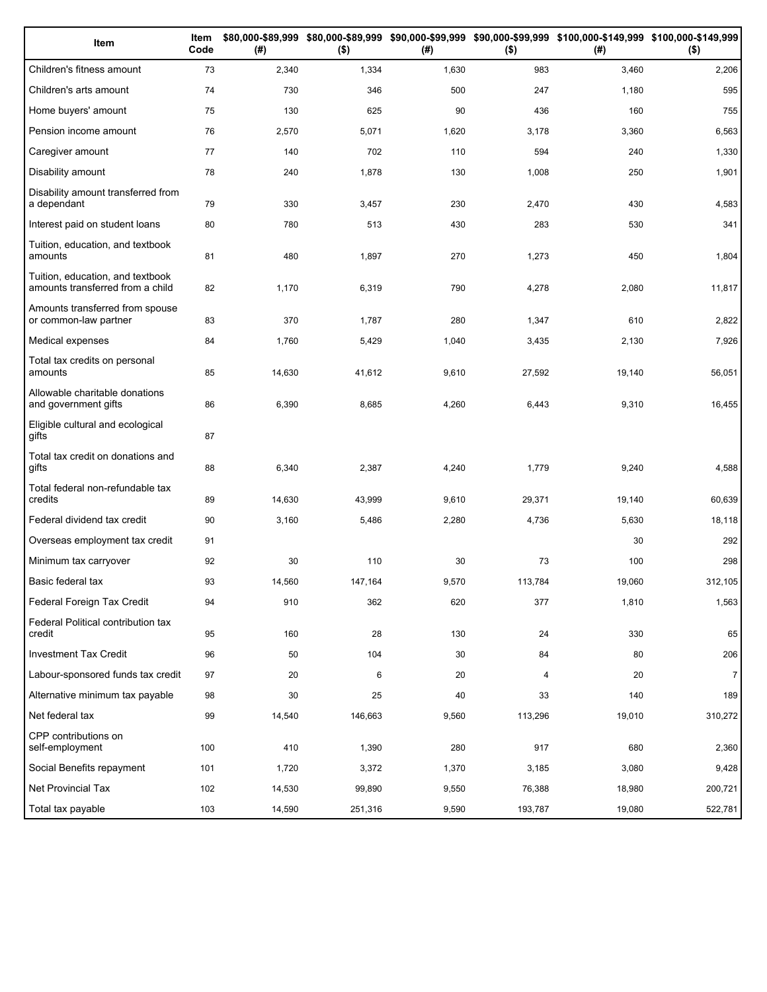| Item                                                                 | Item<br>Code | (# )   | $($ \$) | (#)   | $($ \$) | \$80,000-\$89,999 \$80,000-\$89,999 \$90,000-\$99,999 \$90,000-\$99,999 \$100,000-\$149,999 \$100,000-\$149,999<br>(#) | $($ \$)        |
|----------------------------------------------------------------------|--------------|--------|---------|-------|---------|------------------------------------------------------------------------------------------------------------------------|----------------|
| Children's fitness amount                                            | 73           | 2,340  | 1,334   | 1,630 | 983     | 3,460                                                                                                                  | 2,206          |
| Children's arts amount                                               | 74           | 730    | 346     | 500   | 247     | 1,180                                                                                                                  | 595            |
| Home buyers' amount                                                  | 75           | 130    | 625     | 90    | 436     | 160                                                                                                                    | 755            |
| Pension income amount                                                | 76           | 2,570  | 5,071   | 1,620 | 3,178   | 3,360                                                                                                                  | 6,563          |
| Caregiver amount                                                     | 77           | 140    | 702     | 110   | 594     | 240                                                                                                                    | 1,330          |
| Disability amount                                                    | 78           | 240    | 1,878   | 130   | 1,008   | 250                                                                                                                    | 1,901          |
| Disability amount transferred from<br>a dependant                    | 79           | 330    | 3,457   | 230   | 2,470   | 430                                                                                                                    | 4,583          |
| Interest paid on student loans                                       | 80           | 780    | 513     | 430   | 283     | 530                                                                                                                    | 341            |
| Tuition, education, and textbook<br>amounts                          | 81           | 480    | 1,897   | 270   | 1,273   | 450                                                                                                                    | 1,804          |
| Tuition, education, and textbook<br>amounts transferred from a child | 82           | 1,170  | 6,319   | 790   | 4,278   | 2,080                                                                                                                  | 11,817         |
| Amounts transferred from spouse<br>or common-law partner             | 83           | 370    | 1,787   | 280   | 1,347   | 610                                                                                                                    | 2,822          |
| Medical expenses                                                     | 84           | 1,760  | 5,429   | 1,040 | 3,435   | 2,130                                                                                                                  | 7,926          |
| Total tax credits on personal<br>amounts                             | 85           | 14,630 | 41,612  | 9,610 | 27,592  | 19,140                                                                                                                 | 56,051         |
| Allowable charitable donations<br>and government gifts               | 86           | 6,390  | 8,685   | 4,260 | 6,443   | 9,310                                                                                                                  | 16,455         |
| Eligible cultural and ecological<br>gifts                            | 87           |        |         |       |         |                                                                                                                        |                |
| Total tax credit on donations and<br>gifts                           | 88           | 6,340  | 2,387   | 4,240 | 1,779   | 9,240                                                                                                                  | 4,588          |
| Total federal non-refundable tax<br>credits                          | 89           | 14,630 | 43,999  | 9,610 | 29,371  | 19,140                                                                                                                 | 60,639         |
| Federal dividend tax credit                                          | 90           | 3,160  | 5,486   | 2,280 | 4,736   | 5,630                                                                                                                  | 18,118         |
| Overseas employment tax credit                                       | 91           |        |         |       |         | 30                                                                                                                     | 292            |
| Minimum tax carryover                                                | 92           | 30     | 110     | 30    | 73      | 100                                                                                                                    | 298            |
| Basic federal tax                                                    | 93           | 14,560 | 147,164 | 9,570 | 113,784 | 19,060                                                                                                                 | 312,105        |
| Federal Foreign Tax Credit                                           | 94           | 910    | 362     | 620   | 377     | 1,810                                                                                                                  | 1,563          |
| Federal Political contribution tax<br>credit                         | 95           | 160    | 28      | 130   | 24      | 330                                                                                                                    | 65             |
| Investment Tax Credit                                                | 96           | 50     | 104     | 30    | 84      | 80                                                                                                                     | 206            |
| Labour-sponsored funds tax credit                                    | 97           | 20     | 6       | 20    | 4       | 20                                                                                                                     | $\overline{7}$ |
| Alternative minimum tax payable                                      | 98           | 30     | 25      | 40    | 33      | 140                                                                                                                    | 189            |
| Net federal tax                                                      | 99           | 14,540 | 146,663 | 9,560 | 113,296 | 19,010                                                                                                                 | 310,272        |
| CPP contributions on<br>self-employment                              | 100          | 410    | 1,390   | 280   | 917     | 680                                                                                                                    | 2,360          |
| Social Benefits repayment                                            | 101          | 1,720  | 3,372   | 1,370 | 3,185   | 3,080                                                                                                                  | 9,428          |
| Net Provincial Tax                                                   | 102          | 14,530 | 99,890  | 9,550 | 76,388  | 18,980                                                                                                                 | 200,721        |
| Total tax payable                                                    | 103          | 14,590 | 251,316 | 9,590 | 193,787 | 19,080                                                                                                                 | 522,781        |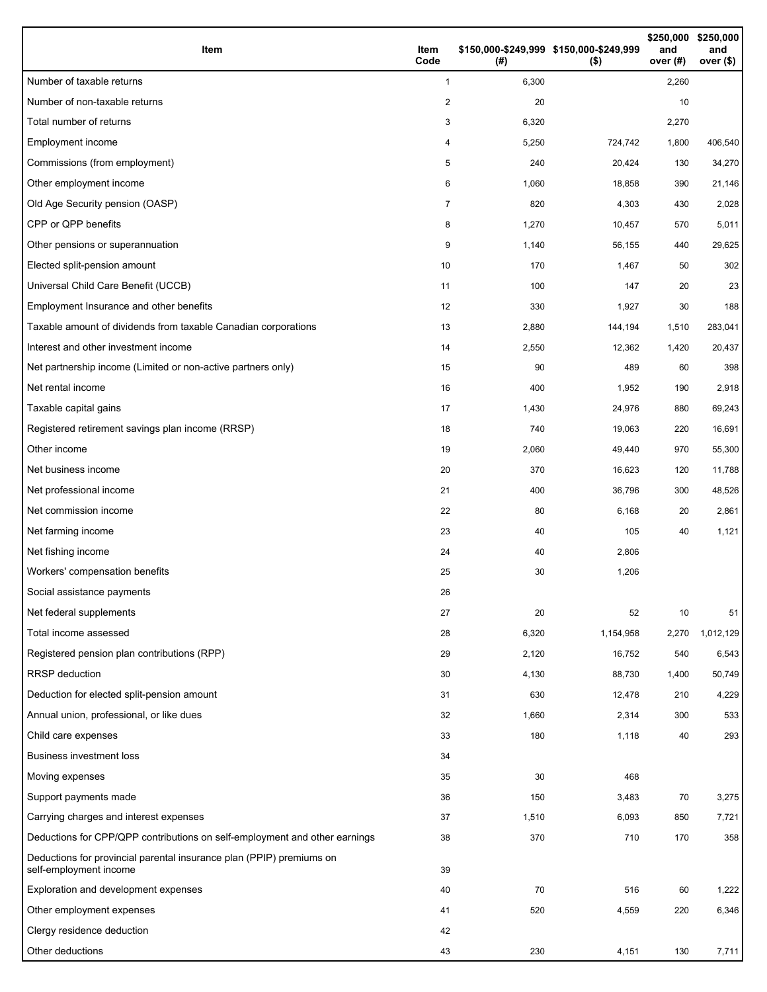| Item                                                                                           | Item<br>Code   | (#)   | \$150,000-\$249,999 \$150,000-\$249,999<br>$($ \$) | \$250,000<br>and<br>over (#) | \$250,000<br>and<br>over (\$) |
|------------------------------------------------------------------------------------------------|----------------|-------|----------------------------------------------------|------------------------------|-------------------------------|
| Number of taxable returns                                                                      | $\mathbf{1}$   | 6,300 |                                                    | 2,260                        |                               |
| Number of non-taxable returns                                                                  | $\overline{2}$ | 20    |                                                    | 10                           |                               |
| Total number of returns                                                                        | 3              | 6,320 |                                                    | 2,270                        |                               |
| Employment income                                                                              | 4              | 5,250 | 724,742                                            | 1,800                        | 406,540                       |
| Commissions (from employment)                                                                  | 5              | 240   | 20,424                                             | 130                          | 34,270                        |
| Other employment income                                                                        | 6              | 1,060 | 18,858                                             | 390                          | 21,146                        |
| Old Age Security pension (OASP)                                                                | 7              | 820   | 4,303                                              | 430                          | 2,028                         |
| CPP or QPP benefits                                                                            | 8              | 1,270 | 10,457                                             | 570                          | 5,011                         |
| Other pensions or superannuation                                                               | 9              | 1,140 | 56,155                                             | 440                          | 29,625                        |
| Elected split-pension amount                                                                   | 10             | 170   | 1,467                                              | 50                           | 302                           |
| Universal Child Care Benefit (UCCB)                                                            | 11             | 100   | 147                                                | 20                           | 23                            |
| Employment Insurance and other benefits                                                        | 12             | 330   | 1,927                                              | 30                           | 188                           |
| Taxable amount of dividends from taxable Canadian corporations                                 | 13             | 2,880 | 144,194                                            | 1,510                        | 283,041                       |
| Interest and other investment income                                                           | 14             | 2,550 | 12,362                                             | 1,420                        | 20,437                        |
| Net partnership income (Limited or non-active partners only)                                   | 15             | 90    | 489                                                | 60                           | 398                           |
| Net rental income                                                                              | 16             | 400   | 1,952                                              | 190                          | 2,918                         |
| Taxable capital gains                                                                          | 17             | 1,430 | 24,976                                             | 880                          | 69,243                        |
| Registered retirement savings plan income (RRSP)                                               | 18             | 740   | 19,063                                             | 220                          | 16,691                        |
| Other income                                                                                   | 19             | 2,060 | 49,440                                             | 970                          | 55,300                        |
| Net business income                                                                            | 20             | 370   | 16,623                                             | 120                          | 11,788                        |
| Net professional income                                                                        | 21             | 400   | 36,796                                             | 300                          | 48,526                        |
| Net commission income                                                                          | 22             | 80    | 6,168                                              | 20                           | 2,861                         |
| Net farming income                                                                             | 23             | 40    | 105                                                | 40                           | 1,121                         |
| Net fishing income                                                                             | 24             | 40    | 2,806                                              |                              |                               |
| Workers' compensation benefits                                                                 | 25             | 30    | 1,206                                              |                              |                               |
| Social assistance payments                                                                     | 26             |       |                                                    |                              |                               |
| Net federal supplements                                                                        | 27             | 20    | 52                                                 | 10                           | 51                            |
| Total income assessed                                                                          | 28             | 6,320 | 1,154,958                                          | 2,270                        | 1,012,129                     |
| Registered pension plan contributions (RPP)                                                    | 29             | 2,120 | 16,752                                             | 540                          | 6,543                         |
| <b>RRSP</b> deduction                                                                          | 30             | 4,130 | 88,730                                             | 1,400                        | 50,749                        |
| Deduction for elected split-pension amount                                                     | 31             | 630   | 12,478                                             | 210                          | 4,229                         |
| Annual union, professional, or like dues                                                       | 32             | 1,660 | 2,314                                              | 300                          | 533                           |
| Child care expenses                                                                            | 33             | 180   | 1,118                                              | 40                           | 293                           |
| <b>Business investment loss</b>                                                                | 34             |       |                                                    |                              |                               |
| Moving expenses                                                                                | 35             | 30    | 468                                                |                              |                               |
| Support payments made                                                                          | 36             | 150   | 3,483                                              | 70                           | 3,275                         |
| Carrying charges and interest expenses                                                         | 37             | 1,510 | 6,093                                              | 850                          | 7,721                         |
| Deductions for CPP/QPP contributions on self-employment and other earnings                     | 38             | 370   | 710                                                | 170                          | 358                           |
| Deductions for provincial parental insurance plan (PPIP) premiums on<br>self-employment income | 39             |       |                                                    |                              |                               |
| Exploration and development expenses                                                           | 40             | 70    | 516                                                | 60                           | 1,222                         |
| Other employment expenses                                                                      | 41             | 520   | 4,559                                              | 220                          | 6,346                         |
| Clergy residence deduction                                                                     | 42             |       |                                                    |                              |                               |
| Other deductions                                                                               | 43             | 230   | 4,151                                              | 130                          | 7,711                         |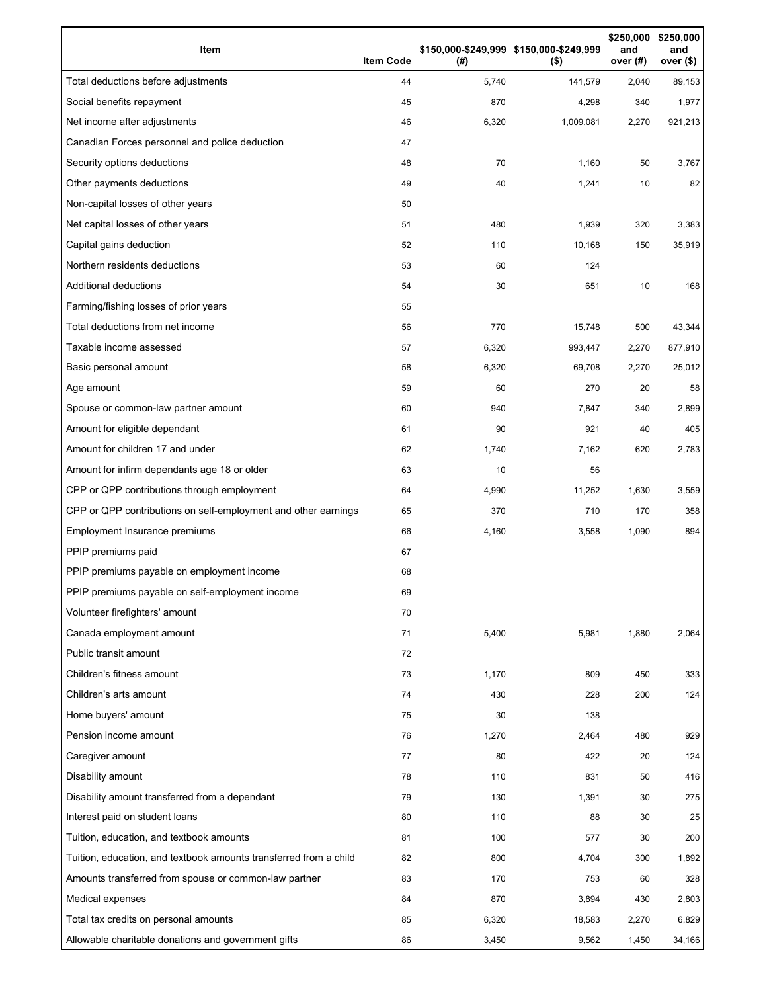| Item                                                              | <b>Item Code</b> | (# )  | \$150,000-\$249,999 \$150,000-\$249,999<br>$($ \$) | \$250,000<br>and<br>over $(#)$ | \$250,000<br>and<br>over <sub>(</sub> |
|-------------------------------------------------------------------|------------------|-------|----------------------------------------------------|--------------------------------|---------------------------------------|
| Total deductions before adjustments                               | 44               | 5,740 | 141,579                                            | 2,040                          | 89,153                                |
| Social benefits repayment                                         | 45               | 870   | 4,298                                              | 340                            | 1,977                                 |
| Net income after adjustments                                      | 46               | 6,320 | 1,009,081                                          | 2,270                          | 921,213                               |
| Canadian Forces personnel and police deduction                    | 47               |       |                                                    |                                |                                       |
| Security options deductions                                       | 48               | 70    | 1,160                                              | 50                             | 3,767                                 |
| Other payments deductions                                         | 49               | 40    | 1,241                                              | 10                             | 82                                    |
| Non-capital losses of other years                                 | 50               |       |                                                    |                                |                                       |
| Net capital losses of other years                                 | 51               | 480   | 1,939                                              | 320                            | 3,383                                 |
| Capital gains deduction                                           | 52               | 110   | 10,168                                             | 150                            | 35,919                                |
| Northern residents deductions                                     | 53               | 60    | 124                                                |                                |                                       |
| Additional deductions                                             | 54               | 30    | 651                                                | 10                             | 168                                   |
| Farming/fishing losses of prior years                             | 55               |       |                                                    |                                |                                       |
| Total deductions from net income                                  | 56               | 770   | 15,748                                             | 500                            | 43,344                                |
| Taxable income assessed                                           | 57               | 6,320 | 993,447                                            | 2,270                          | 877,910                               |
| Basic personal amount                                             | 58               | 6,320 | 69,708                                             | 2,270                          | 25,012                                |
| Age amount                                                        | 59               | 60    | 270                                                | 20                             | 58                                    |
| Spouse or common-law partner amount                               | 60               | 940   | 7,847                                              | 340                            | 2,899                                 |
| Amount for eligible dependant                                     | 61               | 90    | 921                                                | 40                             | 405                                   |
| Amount for children 17 and under                                  | 62               | 1,740 | 7,162                                              | 620                            | 2,783                                 |
| Amount for infirm dependants age 18 or older                      | 63               | 10    | 56                                                 |                                |                                       |
| CPP or QPP contributions through employment                       | 64               | 4,990 | 11,252                                             | 1,630                          | 3,559                                 |
| CPP or QPP contributions on self-employment and other earnings    | 65               | 370   | 710                                                | 170                            | 358                                   |
| Employment Insurance premiums                                     | 66               | 4,160 | 3,558                                              | 1,090                          | 894                                   |
| PPIP premiums paid                                                | 67               |       |                                                    |                                |                                       |
| PPIP premiums payable on employment income                        | 68               |       |                                                    |                                |                                       |
| PPIP premiums payable on self-employment income                   | 69               |       |                                                    |                                |                                       |
| Volunteer firefighters' amount                                    | 70               |       |                                                    |                                |                                       |
| Canada employment amount                                          | 71               | 5,400 | 5,981                                              | 1,880                          | 2,064                                 |
| Public transit amount                                             | 72               |       |                                                    |                                |                                       |
| Children's fitness amount                                         | 73               | 1,170 | 809                                                | 450                            | 333                                   |
| Children's arts amount                                            | 74               | 430   | 228                                                | 200                            | 124                                   |
| Home buyers' amount                                               | 75               | 30    | 138                                                |                                |                                       |
| Pension income amount                                             | 76               | 1,270 | 2,464                                              | 480                            | 929                                   |
| Caregiver amount                                                  | 77               | 80    | 422                                                | 20                             | 124                                   |
| Disability amount                                                 | 78               | 110   | 831                                                | 50                             | 416                                   |
| Disability amount transferred from a dependant                    | 79               | 130   | 1,391                                              | 30                             | 275                                   |
| Interest paid on student loans                                    | 80               | 110   | 88                                                 | 30                             | 25                                    |
| Tuition, education, and textbook amounts                          | 81               | 100   | 577                                                | 30                             | 200                                   |
| Tuition, education, and textbook amounts transferred from a child | 82               | 800   | 4,704                                              | 300                            | 1,892                                 |
| Amounts transferred from spouse or common-law partner             | 83               | 170   | 753                                                | 60                             | 328                                   |
| Medical expenses                                                  | 84               | 870   | 3,894                                              | 430                            | 2,803                                 |
| Total tax credits on personal amounts                             | 85               | 6,320 | 18,583                                             | 2,270                          | 6,829                                 |
| Allowable charitable donations and government gifts               | 86               | 3,450 | 9,562                                              | 1,450                          | 34,166                                |